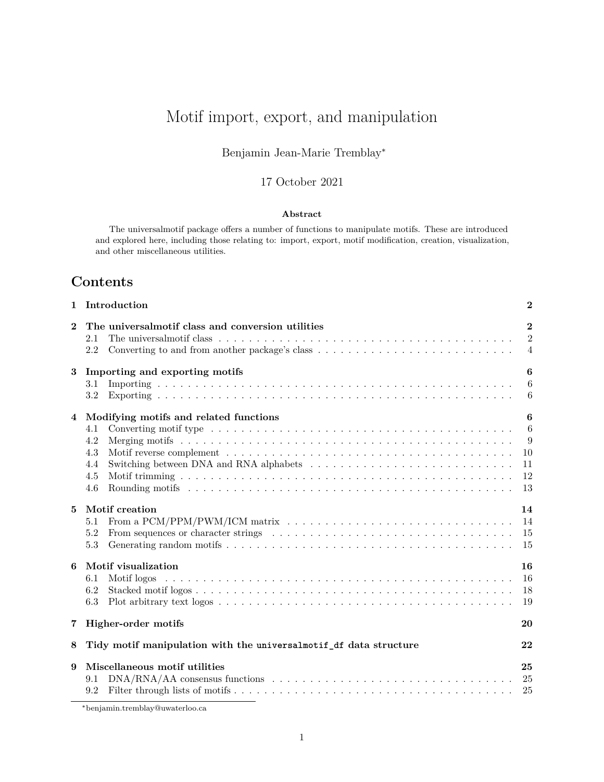# <span id="page-0-0"></span>Motif import, export, and manipulation

### Benjamin Jean-Marie Tremblay<sup>∗</sup>

### 17 October 2021

#### **Abstract**

The universalmotif package offers a number of functions to manipulate motifs. These are introduced and explored here, including those relating to: import, export, motif modification, creation, visualization, and other miscellaneous utilities.

# **Contents**

| 1              | Introduction                                                                                                                                                               | $\boldsymbol{2}$                                 |
|----------------|----------------------------------------------------------------------------------------------------------------------------------------------------------------------------|--------------------------------------------------|
| $\bf{2}$       | The universalmotif class and conversion utilities<br>2.1<br>2.2                                                                                                            | $\mathbf{2}$<br>$\overline{2}$<br>$\overline{4}$ |
| 3              | Importing and exporting motifs<br>3.1<br>3.2                                                                                                                               | 6<br>6<br>6                                      |
| 4              | Modifying motifs and related functions<br>4.1<br>4.2<br>4.3<br>4.4<br>4.5<br>4.6                                                                                           | 6<br>6<br>9<br>10<br>11<br>12<br>13              |
| $\overline{5}$ | Motif creation<br>From a $\text{PCM}/\text{PPM}/\text{PWM}/\text{ICM}$ matrix $\ldots \ldots \ldots \ldots \ldots \ldots \ldots \ldots \ldots \ldots$<br>5.1<br>5.2<br>5.3 | 14<br>14<br>15<br>15                             |
| 6              | Motif visualization<br>6.1<br>6.2<br>6.3                                                                                                                                   | 16<br>16<br>18<br>19                             |
| 7              | Higher-order motifs                                                                                                                                                        | 20                                               |
| 8              | Tidy motif manipulation with the universalmotif df data structure                                                                                                          | 22                                               |
| 9              | Miscellaneous motif utilities<br>9.1<br>9.2                                                                                                                                | 25                                               |

<sup>∗</sup>[benjamin.tremblay@uwaterloo.ca](mailto:benjamin.tremblay@uwaterloo.ca)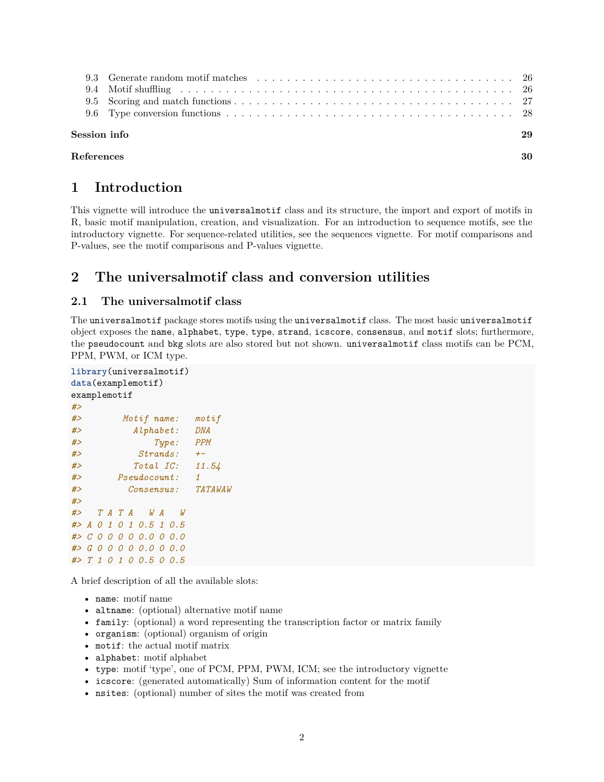| Session info | 29 |
|--------------|----|
| References   | 30 |

# <span id="page-1-0"></span>**1 Introduction**

This vignette will introduce the universalmotif class and its structure, the import and export of motifs in R, basic motif manipulation, creation, and visualization. For an introduction to sequence motifs, see the [introductory](#page-0-0) vignette. For sequence-related utilities, see the [sequences](#page-0-0) vignette. For motif comparisons and P-values, see the [motif comparisons and P-values](#page-0-0) vignette.

# <span id="page-1-1"></span>**2 The universalmotif class and conversion utilities**

### <span id="page-1-2"></span>**2.1 The universalmotif class**

The universalmotif package stores motifs using the universalmotif class. The most basic universalmotif object exposes the name, alphabet, type, type, strand, icscore, consensus, and motif slots; furthermore, the pseudocount and bkg slots are also stored but not shown. universalmotif class motifs can be PCM, PPM, PWM, or ICM type.

```
library(universalmotif)
data(examplemotif)
examplemotif
#>
#> Motif name: motif
#> Alphabet: DNA
#> Type: PPM
#> Strands: +-
#> Total IC: 11.54
#> Pseudocount: 1
#> Consensus: TATAWAW
#>
#> T A T A W A W
#> A 0 1 0 1 0.5 1 0.5
#> C 0 0 0 0 0.0 0 0.0
#> G 0 0 0 0 0.0 0 0.0
#> T 1 0 1 0 0.5 0 0.5
```
A brief description of all the available slots:

- name: motif name
- altname: (optional) alternative motif name
- family: (optional) a word representing the transcription factor or matrix family
- organism: (optional) organism of origin
- motif: the actual motif matrix
- alphabet: motif alphabet
- type: motif 'type', one of PCM, PPM, PWM, ICM; see the [introductory](#page-0-0) vignette
- icscore: (generated automatically) Sum of information content for the motif
- nsites: (optional) number of sites the motif was created from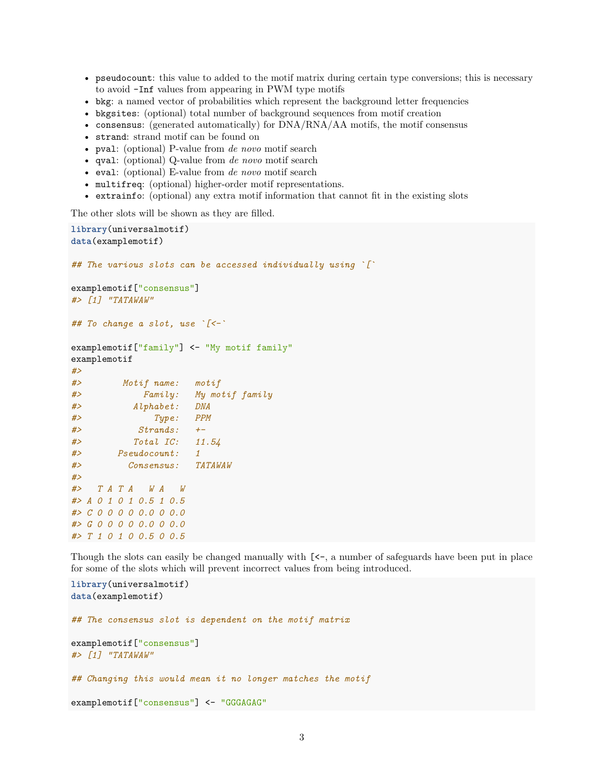- pseudocount: this value to added to the motif matrix during certain type conversions; this is necessary to avoid -Inf values from appearing in PWM type motifs
- bkg: a named vector of probabilities which represent the background letter frequencies
- bkgsites: (optional) total number of background sequences from motif creation
- consensus: (generated automatically) for DNA/RNA/AA motifs, the motif consensus
- strand: strand motif can be found on
- pval: (optional) P-value from *de novo* motif search
- qval: (optional) Q-value from *de novo* motif search
- eval: (optional) E-value from *de novo* motif search
- multifreq: (optional) higher-order motif representations.
- extrainfo: (optional) any extra motif information that cannot fit in the existing slots

The other slots will be shown as they are filled.

```
library(universalmotif)
data(examplemotif)
## The various slots can be accessed individually using `[`
examplemotif["consensus"]
#> [1] "TATAWAW"
## To change a slot, use `[<-`
examplemotif["family"] <- "My motif family"
examplemotif
#>
#> Motif name: motif
#> Family: My motif family
#> Alphabet: DNA
#> Type: PPM
#> Strands: +-
#> Total IC: 11.54
#> Pseudocount: 1
#> Consensus: TATAWAW
#>
#> T A T A W A W
#> A 0 1 0 1 0.5 1 0.5
#> C 0 0 0 0 0.0 0 0.0
#> G 0 0 0 0 0.0 0 0.0
#> T 1 0 1 0 0.5 0 0.5
```
Though the slots can easily be changed manually with  $\ll -$ , a number of safeguards have been put in place for some of the slots which will prevent incorrect values from being introduced.

**library**(universalmotif) **data**(examplemotif) *## The consensus slot is dependent on the motif matrix* examplemotif["consensus"] *#> [1] "TATAWAW" ## Changing this would mean it no longer matches the motif* examplemotif ["consensus"] <- "GGGAGAG"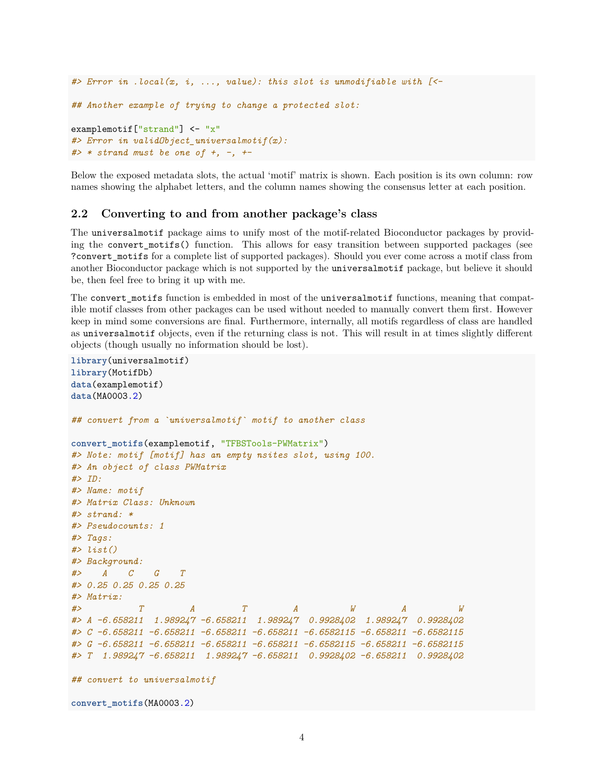```
#> Error in .local(x, i, ..., value): this slot is unmodifiable with [<-
## Another example of trying to change a protected slot:
examplemotif["strand"] <- "x"
#> Error in validObject_universalmotif(x):
#> * strand must be one of +, -, +-
```
Below the exposed metadata slots, the actual 'motif' matrix is shown. Each position is its own column: row names showing the alphabet letters, and the column names showing the consensus letter at each position.

#### <span id="page-3-0"></span>**2.2 Converting to and from another package's class**

The universalmotif package aims to unify most of the motif-related Bioconductor packages by providing the convert\_motifs() function. This allows for easy transition between supported packages (see ?convert\_motifs for a complete list of supported packages). Should you ever come across a motif class from another Bioconductor package which is not supported by the universalmotif package, but believe it should be, then feel free to bring it up with me.

The convert\_motifs function is embedded in most of the universalmotif functions, meaning that compatible motif classes from other packages can be used without needed to manually convert them first. However keep in mind some conversions are final. Furthermore, internally, all motifs regardless of class are handled as universalmotif objects, even if the returning class is not. This will result in at times slightly different objects (though usually no information should be lost).

```
library(universalmotif)
library(MotifDb)
data(examplemotif)
data(MA0003.2)
## convert from a `universalmotif` motif to another class
convert_motifs(examplemotif, "TFBSTools-PWMatrix")
#> Note: motif [motif] has an empty nsites slot, using 100.
#> An object of class PWMatrix
#> ID:
#> Name: motif
#> Matrix Class: Unknown
#> strand: *
#> Pseudocounts: 1
#> Tags:
#> list()
#> Background:
#> A C G T
#> 0.25 0.25 0.25 0.25
#> Matrix:
#> T A T A W A W
#> A -6.658211 1.989247 -6.658211 1.989247 0.9928402 1.989247 0.9928402
#> C -6.658211 -6.658211 -6.658211 -6.658211 -6.6582115 -6.658211 -6.6582115
#> G -6.658211 -6.658211 -6.658211 -6.658211 -6.6582115 -6.658211 -6.6582115
#> T 1.989247 -6.658211 1.989247 -6.658211 0.9928402 -6.658211 0.9928402
## convert to universalmotif
convert_motifs(MA0003.2)
```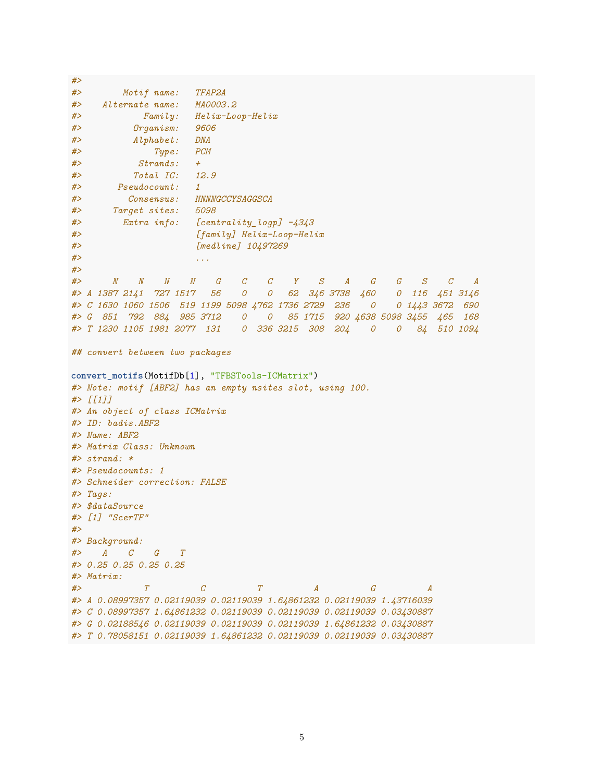```
#> Motif name: TFAP2A
#> Alternate name: MA0003.2
#> Family: Helix-Loop-Helix
#> Organism: 9606
#> Alphabet: DNA
#> Type: PCM
#> Strands: +
#> Total IC: 12.9
#> Pseudocount: 1
#> Consensus: NNNNGCCYSAGGSCA
#> Target sites: 5098
#> Extra info: [centrality_logp] -4343
#> [family] Helix-Loop-Helix
#> [medline] 10497269
#> ...
#>
#> N N N N G C C Y S A G G S C A
#> A 1387 2141 727 1517 56 0 0 62 346 3738 460 0 116 451 3146
#> C 1630 1060 1506 519 1199 5098 4762 1736 2729 236 0 0 1443 3672 690
#> G 851 792 884 985 3712 0 0 85 1715 920 4638 5098 3455 465 168
#> T 1230 1105 1981 2077 131 0 336 3215 308 204 0 0 84 510 1094
## convert between two packages
convert motifs(MotifDb[1], "TFBSTools-ICMatrix")
#> Note: motif [ABF2] has an empty nsites slot, using 100.
#> [[1]]
#> An object of class ICMatrix
#> ID: badis.ABF2
#> Name: ABF2
#> Matrix Class: Unknown
#> strand: *
#> Pseudocounts: 1
#> Schneider correction: FALSE
#> Tags:
#> $dataSource
#> [1] "ScerTF"
#>
#> Background:
#> A C G T
#> 0.25 0.25 0.25 0.25
#> Matrix:
#> T C T A G A
#> A 0.08997357 0.02119039 0.02119039 1.64861232 0.02119039 1.43716039
#> C 0.08997357 1.64861232 0.02119039 0.02119039 0.02119039 0.03430887
#> G 0.02188546 0.02119039 0.02119039 0.02119039 1.64861232 0.03430887
#> T 0.78058151 0.02119039 1.64861232 0.02119039 0.02119039 0.03430887
```
*#>*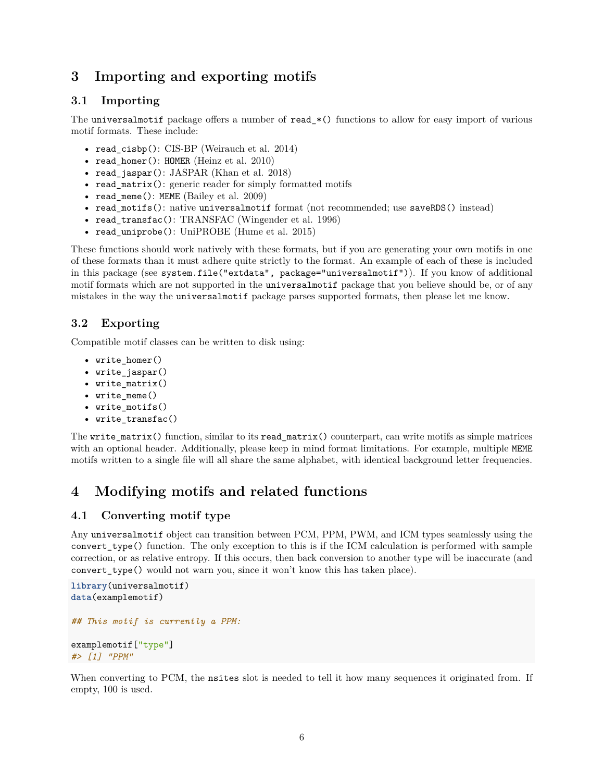# <span id="page-5-0"></span>**3 Importing and exporting motifs**

### <span id="page-5-1"></span>**3.1 Importing**

The universalmotif package offers a number of read\_\*() functions to allow for easy import of various motif formats. These include:

- read  $cisbp()$ : CIS-BP (Weirauch et al. 2014)
- read homer(): HOMER (Heinz et al. 2010)
- read\_jaspar(): JASPAR (Khan et al. 2018)
- read\_matrix(): generic reader for simply formatted motifs
- read\_meme(): MEME (Bailey et al. 2009)
- read motifs(): native universalmotif format (not recommended; use saveRDS() instead)
- read\_transfac(): TRANSFAC (Wingender et al. 1996)
- read\_uniprobe(): UniPROBE (Hume et al. 2015)

These functions should work natively with these formats, but if you are generating your own motifs in one of these formats than it must adhere quite strictly to the format. An example of each of these is included in this package (see system.file("extdata", package="universalmotif")). If you know of additional motif formats which are not supported in the universalmotif package that you believe should be, or of any mistakes in the way the universalmotif package parses supported formats, then please let me know.

### <span id="page-5-2"></span>**3.2 Exporting**

Compatible motif classes can be written to disk using:

- write\_homer()
- write\_jaspar()
- write\_matrix()
- write\_meme()
- write\_motifs()
- write\_transfac()

The write\_matrix() function, similar to its read\_matrix() counterpart, can write motifs as simple matrices with an optional header. Additionally, please keep in mind format limitations. For example, multiple MEME motifs written to a single file will all share the same alphabet, with identical background letter frequencies.

# <span id="page-5-3"></span>**4 Modifying motifs and related functions**

### <span id="page-5-4"></span>**4.1 Converting motif type**

Any universalmotif object can transition between PCM, PPM, PWM, and ICM types seamlessly using the convert\_type() function. The only exception to this is if the ICM calculation is performed with sample correction, or as relative entropy. If this occurs, then back conversion to another type will be inaccurate (and convert\_type() would not warn you, since it won't know this has taken place).

```
library(universalmotif)
data(examplemotif)
## This motif is currently a PPM:
examplemotif["type"]
#> [1] "PPM"
```
When converting to PCM, the nsites slot is needed to tell it how many sequences it originated from. If empty, 100 is used.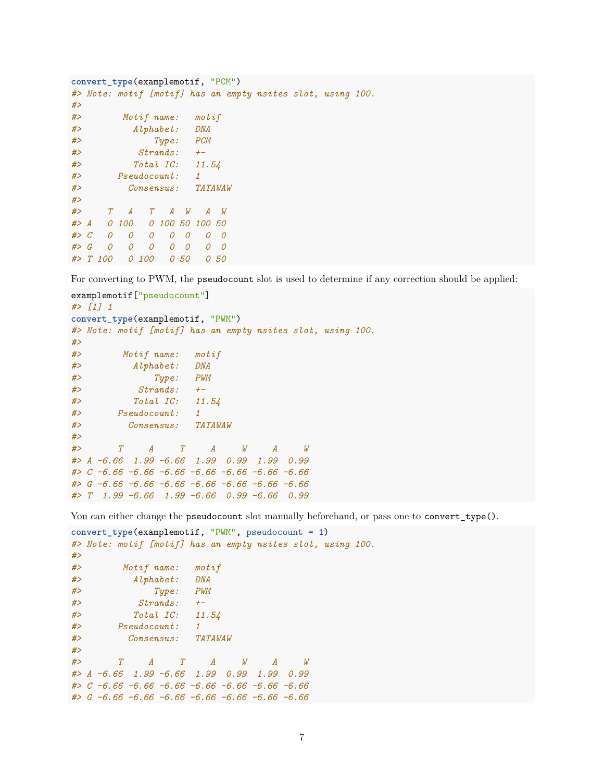```
convert_type(examplemotif, "PCM")
#> Note: motif [motif] has an empty nsites slot, using 100.
#>
#> Motif name: motif
#> Alphabet: DNA
#> Type: PCM
#> Strands: +-
#> Total IC: 11.54
#> Pseudocount: 1
#> Consensus: TATAWAW
#>
#> T A T A W A W
#> A 0 100 0 100 50 100 50
#> C 0 0 0 0 0 0 0
#> G 0 0 0 0 0 0 0
#> T 100 0 100 0 50 0 50
```
For converting to PWM, the pseudocount slot is used to determine if any correction should be applied:

```
examplemotif["pseudocount"]
#> [1] 1
convert_type(examplemotif, "PWM")
#> Note: motif [motif] has an empty nsites slot, using 100.
#>
#> Motif name: motif
#> Alphabet: DNA
#> Type: PWM
#> Strands: +-
#> Total IC: 11.54
#> Pseudocount: 1
#> Consensus: TATAWAW
#>
#> T A T A W A W
#> A -6.66 1.99 -6.66 1.99 0.99 1.99 0.99
#> C -6.66 -6.66 -6.66 -6.66 -6.66 -6.66 -6.66
#> G -6.66 -6.66 -6.66 -6.66 -6.66 -6.66 -6.66
#> T 1.99 -6.66 1.99 -6.66 0.99 -6.66 0.99
```
You can either change the pseudocount slot manually beforehand, or pass one to convert\_type().

```
convert_type(examplemotif, "PWM", pseudocount = 1)
#> Note: motif [motif] has an empty nsites slot, using 100.
#>
#> Motif name: motif
#> Alphabet: DNA
#> Type: PWM
#> Strands: +-
#> Total IC: 11.54
#> Pseudocount: 1
#> Consensus: TATAWAW
#>
#> T A T A W A W
#> A -6.66 1.99 -6.66 1.99 0.99 1.99 0.99
#> C -6.66 -6.66 -6.66 -6.66 -6.66 -6.66 -6.66
#> G -6.66 -6.66 -6.66 -6.66 -6.66 -6.66 -6.66
```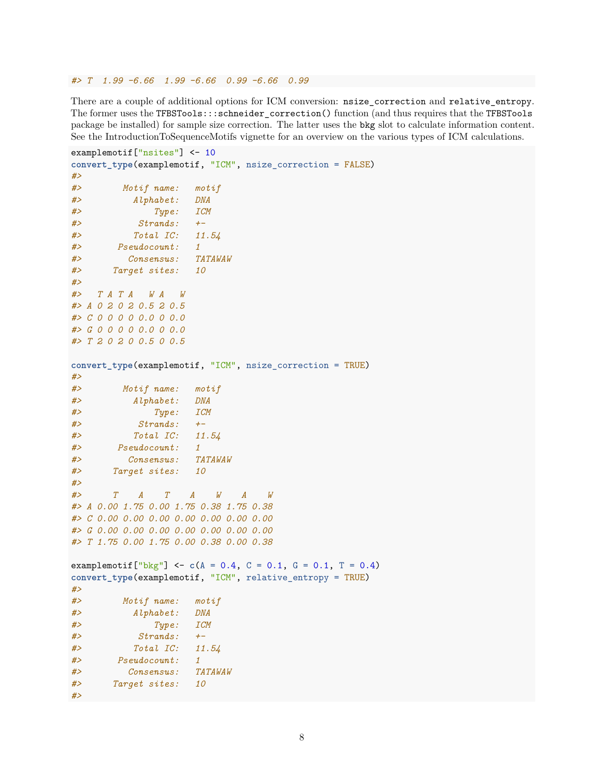*#> T 1.99 -6.66 1.99 -6.66 0.99 -6.66 0.99*

There are a couple of additional options for ICM conversion: nsize\_correction and relative\_entropy. The former uses the TFBSTools:::schneider\_correction() function (and thus requires that the TFBSTools package be installed) for sample size correction. The latter uses the bkg slot to calculate information content. See the IntroductionToSequenceMotifs vignette for an overview on the various types of ICM calculations.

```
examplemotif["nsites"] <- 10
convert_type(examplemotif, "ICM", nsize_correction = FALSE)
#>
#> Motif name: motif
#> Alphabet: DNA
#> Type: ICM
#> Strands: +-
#> Total IC: 11.54
#> Pseudocount: 1
#> Consensus: TATAWAW
#> Target sites: 10
#>
#> T A T A W A W
#> A 0 2 0 2 0.5 2 0.5
#> C 0 0 0 0 0.0 0 0.0
#> G 0 0 0 0 0.0 0 0.0
#> T 2 0 2 0 0.5 0 0.5
convert_type(examplemotif, "ICM", nsize_correction = TRUE)
#>
#> Motif name: motif
#> Alphabet: DNA
#> Type: ICM
#> Strands: +-
#> Total IC: 11.54
#> Pseudocount: 1
#> Consensus: TATAWAW
#> Target sites: 10
#>
#> T A T A W A W
#> A 0.00 1.75 0.00 1.75 0.38 1.75 0.38
#> C 0.00 0.00 0.00 0.00 0.00 0.00 0.00
#> G 0.00 0.00 0.00 0.00 0.00 0.00 0.00
#> T 1.75 0.00 1.75 0.00 0.38 0.00 0.38
examplemotif<sup>["bkg"]</sup> <- c(A = 0.4, C = 0.1, G = 0.1, T = 0.4)convert_type(examplemotif, "ICM", relative_entropy = TRUE)
#>
#> Motif name: motif
#> Alphabet: DNA
#> Type: ICM
#> Strands: +-
#> Total IC: 11.54
#> Pseudocount: 1
#> Consensus: TATAWAW
#> Target sites: 10
#>
```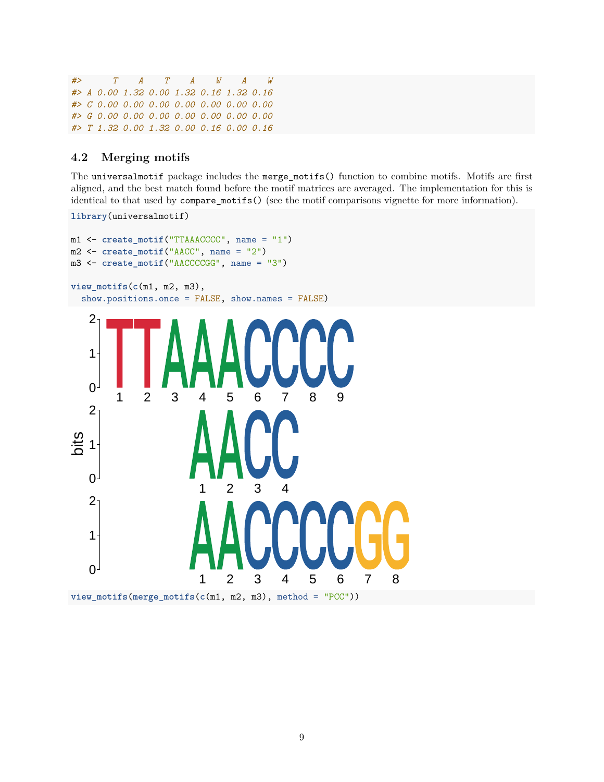*#> T A T A W A W #> A 0.00 1.32 0.00 1.32 0.16 1.32 0.16 #> C 0.00 0.00 0.00 0.00 0.00 0.00 0.00 #> G 0.00 0.00 0.00 0.00 0.00 0.00 0.00 #> T 1.32 0.00 1.32 0.00 0.16 0.00 0.16*

### <span id="page-8-0"></span>**4.2 Merging motifs**

**library**(universalmotif)

The universalmotif package includes the merge\_motifs() function to combine motifs. Motifs are first aligned, and the best match found before the motif matrices are averaged. The implementation for this is identical to that used by compare\_motifs() (see the [motif comparisons vignette](#page-0-0) for more information).

```
m1 <- create_motif("TTAAACCCC", name = "1")
m2 <- create_motif("AACC", name = "2")
m3 <- create_motif("AACCCCGG", name = "3")
view_motifs(c(m1, m2, m3),
  show.positions.once = FALSE, show.names = FALSE)
                       1 2 3 4 5 6 7 8
                       1 2 3 4
        1 2 3 4 5 6 7 8 9
   \overline{0}1
   2
   0 -1
   2
   0<sup>1</sup>1
   2
bits
view_motifs(merge_motifs(c(m1, m2, m3), method = "PCC"))
```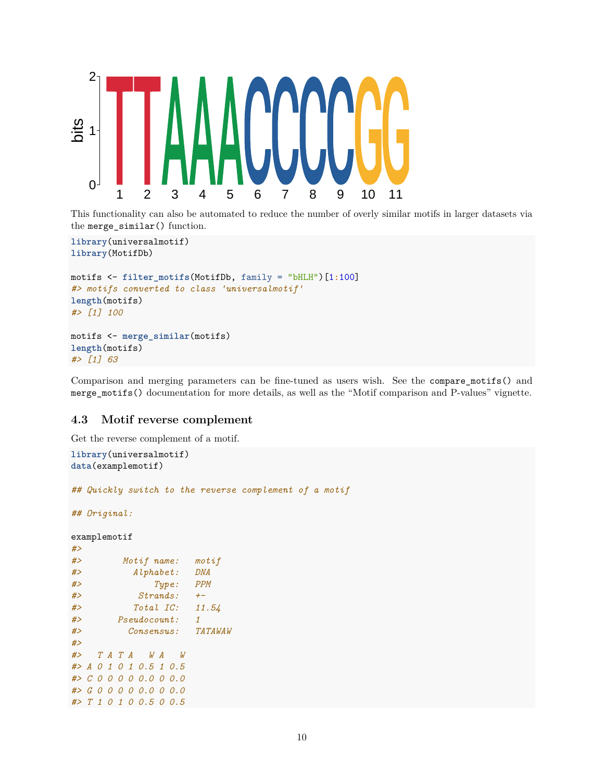

This functionality can also be automated to reduce the number of overly similar motifs in larger datasets via the merge\_similar() function.

```
library(universalmotif)
library(MotifDb)
motifs <- filter_motifs(MotifDb, family = "bHLH")[1:100]
#> motifs converted to class 'universalmotif'
length(motifs)
#> [1] 100
motifs <- merge_similar(motifs)
length(motifs)
```
Comparison and merging parameters can be fine-tuned as users wish. See the compare\_motifs() and merge\_motifs() documentation for more details, as well as the "Motif comparison and P-values" vignette.

#### <span id="page-9-0"></span>**4.3 Motif reverse complement**

Get the reverse complement of a motif.

*#> [1] 63*

```
library(universalmotif)
data(examplemotif)
## Quickly switch to the reverse complement of a motif
## Original:
examplemotif
#>
#> Motif name: motif
#> Alphabet: DNA
#> Type: PPM
#> Strands: +-
#> Total IC: 11.54
#> Pseudocount: 1
#> Consensus: TATAWAW
#>
#> T A T A W A W
#> A 0 1 0 1 0.5 1 0.5
#> C 0 0 0 0 0.0 0 0.0
#> G 0 0 0 0 0.0 0 0.0
#> T 1 0 1 0 0.5 0 0.5
```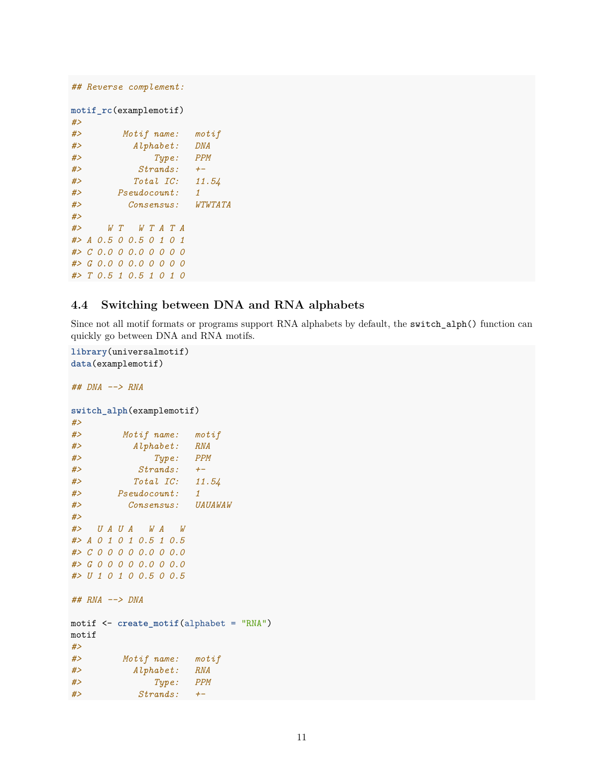```
## Reverse complement:
motif_rc(examplemotif)
#>
#> Motif name: motif
#> Alphabet: DNA
#> Type: PPM
#> Strands: +-
#> Total IC: 11.54
#> Pseudocount: 1
#> Consensus: WTWTATA
#>
#> W T W T A T A
#> A 0.5 0 0.5 0 1 0 1
#> C 0.0 0 0.0 0 0 0 0
#> G 0.0 0 0.0 0 0 0 0
#> T 0.5 1 0.5 1 0 1 0
```
### <span id="page-10-0"></span>**4.4 Switching between DNA and RNA alphabets**

Since not all motif formats or programs support RNA alphabets by default, the switch\_alph() function can quickly go between DNA and RNA motifs.

```
library(universalmotif)
data(examplemotif)
## DNA --> RNA
switch_alph(examplemotif)
#>
#> Motif name: motif
#> Alphabet: RNA
#> Type: PPM
#> Strands: +-
#> Total IC: 11.54
#> Pseudocount: 1
#> Consensus: UAUAWAW
#>
#> U A U A W A W
#> A 0 1 0 1 0.5 1 0.5
#> C 0 0 0 0 0.0 0 0.0
#> G 0 0 0 0 0.0 0 0.0
#> U 1 0 1 0 0.5 0 0.5
## RNA --> DNA
motif <- create_motif(alphabet = "RNA")
motif
#>
#> Motif name: motif
#> Alphabet: RNA
#> Type: PPM
#> Strands: +-
```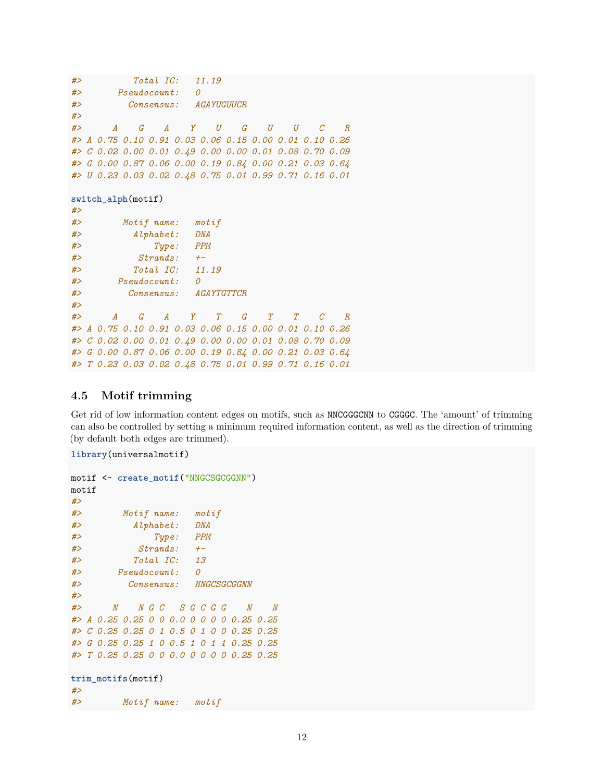```
#> Total IC: 11.19
#> Pseudocount: 0
#> Consensus: AGAYUGUUCR
#>
#> A G A Y U G U U C R
#> A 0.75 0.10 0.91 0.03 0.06 0.15 0.00 0.01 0.10 0.26
#> C 0.02 0.00 0.01 0.49 0.00 0.00 0.01 0.08 0.70 0.09
#> G 0.00 0.87 0.06 0.00 0.19 0.84 0.00 0.21 0.03 0.64
#> U 0.23 0.03 0.02 0.48 0.75 0.01 0.99 0.71 0.16 0.01
switch_alph(motif)
#>
#> Motif name: motif
#> Alphabet: DNA
#> Type: PPM
#> Strands: +-
#> Total IC: 11.19
#> Pseudocount: 0
#> Consensus: AGAYTGTTCR
#>
#> A G A Y T G T T C R
#> A 0.75 0.10 0.91 0.03 0.06 0.15 0.00 0.01 0.10 0.26
#> C 0.02 0.00 0.01 0.49 0.00 0.00 0.01 0.08 0.70 0.09
#> G 0.00 0.87 0.06 0.00 0.19 0.84 0.00 0.21 0.03 0.64
#> T 0.23 0.03 0.02 0.48 0.75 0.01 0.99 0.71 0.16 0.01
```
#### <span id="page-11-0"></span>**4.5 Motif trimming**

Get rid of low information content edges on motifs, such as NNCGGGCNN to CGGGC. The 'amount' of trimming can also be controlled by setting a minimum required information content, as well as the direction of trimming (by default both edges are trimmed).

```
library(universalmotif)
```

```
motif <- create_motif("NNGCSGCGGNN")
motif
#>
#> Motif name: motif
#> Alphabet: DNA
#> Type: PPM
#> Strands: +-
#> Total IC: 13
#> Pseudocount: 0
#> Consensus: NNGCSGCGGNN
#>
#> N N G C S G C G G N N
#> A 0.25 0.25 0 0 0.0 0 0 0 0 0.25 0.25
#> C 0.25 0.25 0 1 0.5 0 1 0 0 0.25 0.25
#> G 0.25 0.25 1 0 0.5 1 0 1 1 0.25 0.25
#> T 0.25 0.25 0 0 0.0 0 0 0 0 0.25 0.25
```

```
trim_motifs(motif)
#>
#> Motif name: motif
```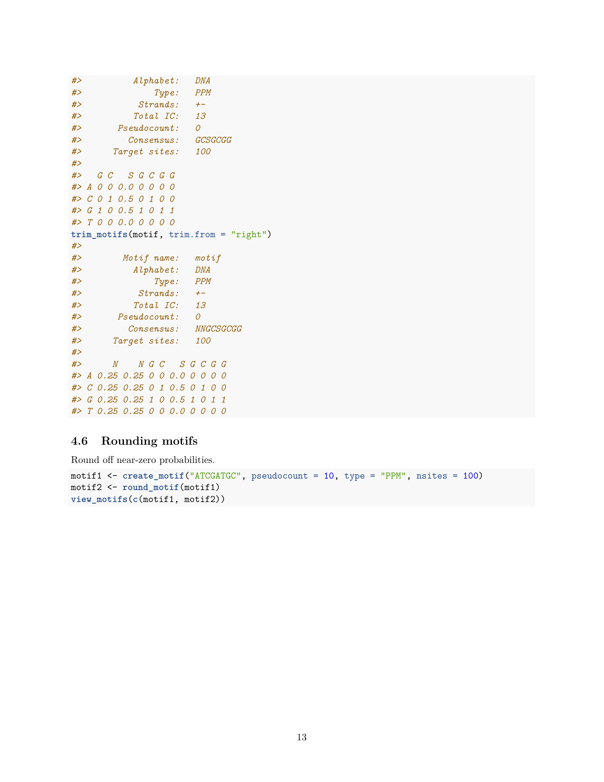```
#> Alphabet: DNA
#> Type: PPM
#> Strands: +-
#> Total IC: 13
#> Pseudocount: 0
#> Consensus: GCSGCGG
#> Target sites: 100
#>
#> G C S G C G G
#> A 0 0 0.0 0 0 0 0
#> C 0 1 0.5 0 1 0 0
#> G 1 0 0.5 1 0 1 1
#> T 0 0 0.0 0 0 0 0
trim_motifs(motif, trim.from = "right")
#>
#> Motif name: motif
#> Alphabet: DNA
#> Type: PPM
#> Strands: +-
#> Total IC: 13
#> Pseudocount: 0
#> Consensus: NNGCSGCGG
#> Target sites: 100
#>
#> N N G C S G C G G
#> A 0.25 0.25 0 0 0.0 0 0 0 0
#> C 0.25 0.25 0 1 0.5 0 1 0 0
#> G 0.25 0.25 1 0 0.5 1 0 1 1
#> T 0.25 0.25 0 0 0.0 0 0 0 0
```
### <span id="page-12-0"></span>**4.6 Rounding motifs**

Round off near-zero probabilities.

```
motif1 <- create_motif("ATCGATGC", pseudocount = 10, type = "PPM", nsites = 100)
motif2 <- round_motif(motif1)
view_motifs(c(motif1, motif2))
```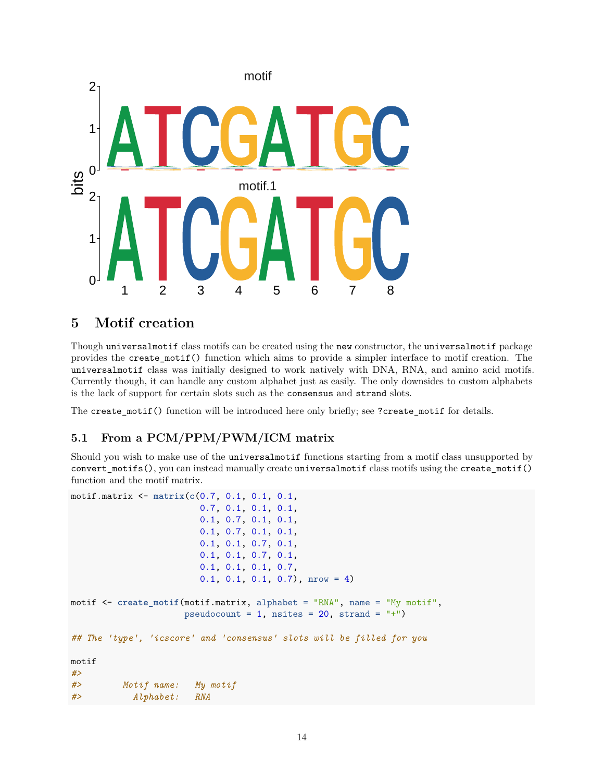

# <span id="page-13-0"></span>**5 Motif creation**

Though universalmotif class motifs can be created using the new constructor, the universalmotif package provides the create\_motif() function which aims to provide a simpler interface to motif creation. The universalmotif class was initially designed to work natively with DNA, RNA, and amino acid motifs. Currently though, it can handle any custom alphabet just as easily. The only downsides to custom alphabets is the lack of support for certain slots such as the consensus and strand slots.

The create\_motif() function will be introduced here only briefly; see ?create\_motif for details.

# <span id="page-13-1"></span>**5.1 From a PCM/PPM/PWM/ICM matrix**

Should you wish to make use of the universalmotif functions starting from a motif class unsupported by convert motifs(), you can instead manually create universalmotif class motifs using the create motif() function and the motif matrix.

```
motif.matrix <- matrix(c(0.7, 0.1, 0.1, 0.1,
                        0.7, 0.1, 0.1, 0.1,
                        0.1, 0.7, 0.1, 0.1,
                        0.1, 0.7, 0.1, 0.1,
                        0.1, 0.1, 0.7, 0.1,
                        0.1, 0.1, 0.7, 0.1,
                        0.1, 0.1, 0.1, 0.7,
                        0.1, 0.1, 0.1, 0.7), nrow = 4)
motif <- create_motif(motif.matrix, alphabet = "RNA", name = "My motif",
                     pseudocount = 1, nsites = 20, strand = "+")
## The 'type', 'icscore' and 'consensus' slots will be filled for you
motif
#>
#> Motif name: My motif
#> Alphabet: RNA
```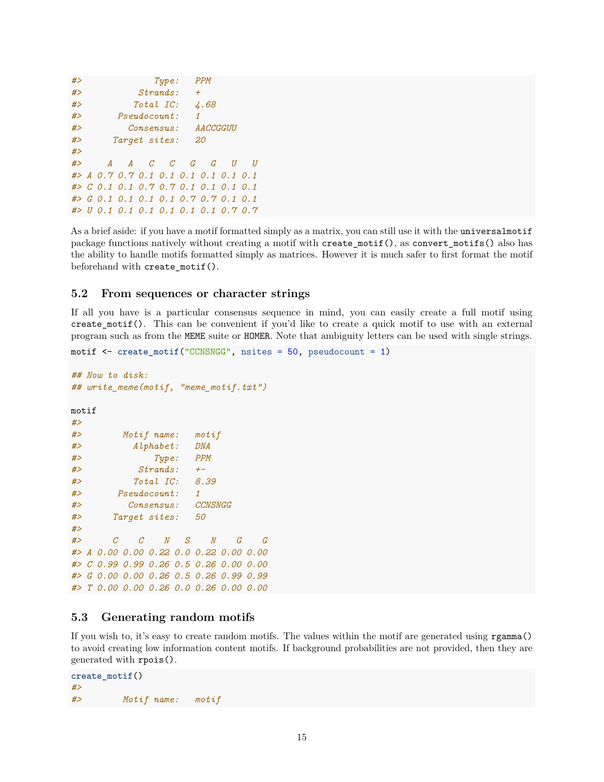```
#> Type: PPM
#> Strands: +
#> Total IC: 4.68
#> Pseudocount: 1
#> Consensus: AACCGGUU
#> Target sites: 20
#>
#> A A C C G G U U
#> A 0.7 0.7 0.1 0.1 0.1 0.1 0.1 0.1
#> C 0.1 0.1 0.7 0.7 0.1 0.1 0.1 0.1
#> G 0.1 0.1 0.1 0.1 0.7 0.7 0.1 0.1
#> U 0.1 0.1 0.1 0.1 0.1 0.1 0.7 0.7
```
As a brief aside: if you have a motif formatted simply as a matrix, you can still use it with the universalmotif package functions natively without creating a motif with create\_motif(), as convert\_motifs() also has the ability to handle motifs formatted simply as matrices. However it is much safer to first format the motif beforehand with create\_motif().

#### <span id="page-14-0"></span>**5.2 From sequences or character strings**

If all you have is a particular consensus sequence in mind, you can easily create a full motif using create\_motif(). This can be convenient if you'd like to create a quick motif to use with an external program such as from the MEME suite or HOMER. Note that ambiguity letters can be used with single strings.

```
motif <- create_motif("CCNSNGG", nsites = 50, pseudocount = 1)
## Now to disk:
## write_meme(motif, "meme_motif.txt")
motif
#>
#> Motif name: motif
#> Alphabet: DNA
#> Type: PPM
#> Strands: +-
#> Total IC: 8.39
#> Pseudocount: 1
#> Consensus: CCNSNGG
#> Target sites: 50
#>
#> C C N S N G G
#> A 0.00 0.00 0.22 0.0 0.22 0.00 0.00
#> C 0.99 0.99 0.26 0.5 0.26 0.00 0.00
#> G 0.00 0.00 0.26 0.5 0.26 0.99 0.99
#> T 0.00 0.00 0.26 0.0 0.26 0.00 0.00
```
#### <span id="page-14-1"></span>**5.3 Generating random motifs**

If you wish to, it's easy to create random motifs. The values within the motif are generated using rgamma() to avoid creating low information content motifs. If background probabilities are not provided, then they are generated with rpois().

```
create_motif()
#>
#> Motif name: motif
```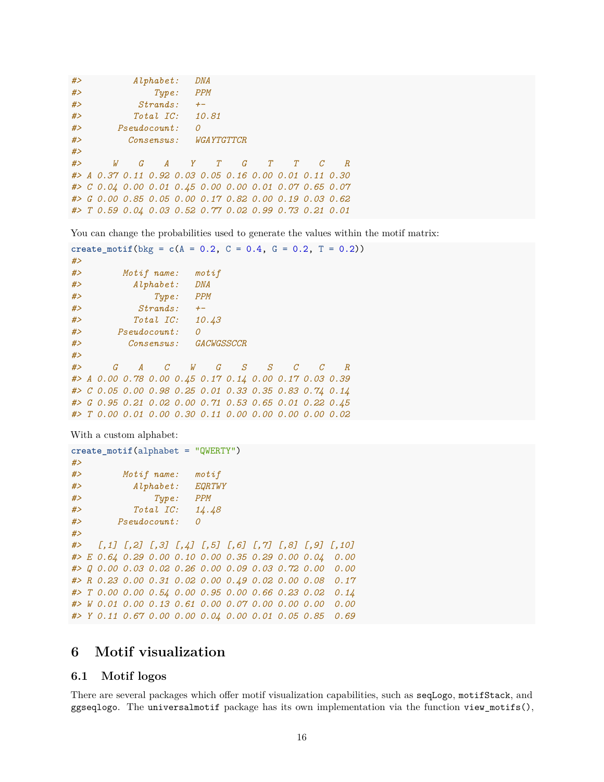```
#> Alphabet: DNA
#> Type: PPM
#> Strands: +-
#> Total IC: 10.81
#> Pseudocount: 0
#> Consensus: WGAYTGTTCR
#>
#> W G A Y T G T T C R
#> A 0.37 0.11 0.92 0.03 0.05 0.16 0.00 0.01 0.11 0.30
#> C 0.04 0.00 0.01 0.45 0.00 0.00 0.01 0.07 0.65 0.07
#> G 0.00 0.85 0.05 0.00 0.17 0.82 0.00 0.19 0.03 0.62
#> T 0.59 0.04 0.03 0.52 0.77 0.02 0.99 0.73 0.21 0.01
```
You can change the probabilities used to generate the values within the motif matrix:

```
create_motif(bkg = c(A = 0.2, C = 0.4, G = 0.2, T = 0.2))
#>
#> Motif name: motif
#> Alphabet: DNA
#> Type: PPM
#> Strands: +-
#> Total IC: 10.43
#> Pseudocount: 0
#> Consensus: GACWGSSCCR
#>
#> G A C W G S S C C R
#> A 0.00 0.78 0.00 0.45 0.17 0.14 0.00 0.17 0.03 0.39
#> C 0.05 0.00 0.98 0.25 0.01 0.33 0.35 0.83 0.74 0.14
#> G 0.95 0.21 0.02 0.00 0.71 0.53 0.65 0.01 0.22 0.45
#> T 0.00 0.01 0.00 0.30 0.11 0.00 0.00 0.00 0.00 0.02
```
With a custom alphabet:

```
create_motif(alphabet = "QWERTY")
#>
#> Motif name: motif
#> Alphabet: EQRTWY
#> Type: PPM
#> Total IC: 14.48
#> Pseudocount: 0
#>
#> [,1] [,2] [,3] [,4] [,5] [,6] [,7] [,8] [,9] [,10]
#> E 0.64 0.29 0.00 0.10 0.00 0.35 0.29 0.00 0.04 0.00
#> Q 0.00 0.03 0.02 0.26 0.00 0.09 0.03 0.72 0.00 0.00
#> R 0.23 0.00 0.31 0.02 0.00 0.49 0.02 0.00 0.08 0.17
#> T 0.00 0.00 0.54 0.00 0.95 0.00 0.66 0.23 0.02 0.14
#> W 0.01 0.00 0.13 0.61 0.00 0.07 0.00 0.00 0.00 0.00
#> Y 0.11 0.67 0.00 0.00 0.04 0.00 0.01 0.05 0.85 0.69
```
# <span id="page-15-0"></span>**6 Motif visualization**

#### <span id="page-15-1"></span>**6.1 Motif logos**

There are several packages which offer motif visualization capabilities, such as seqLogo, motifStack, and ggseqlogo. The universalmotif package has its own implementation via the function view\_motifs(),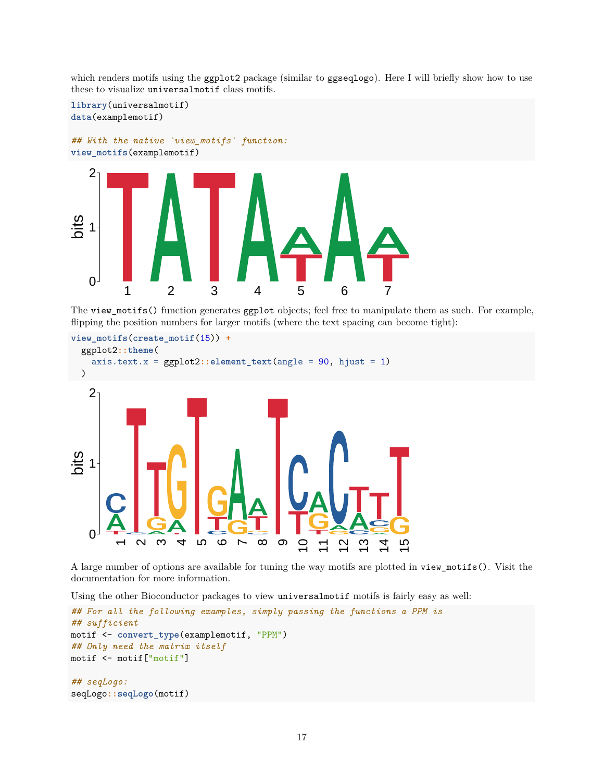which renders motifs using the ggplot2 package (similar to ggseqlogo). Here I will briefly show how to use these to visualize universalmotif class motifs.



The view\_motifs() function generates ggplot objects; feel free to manipulate them as such. For example, flipping the position numbers for larger motifs (where the text spacing can become tight):

```
view_motifs(create_motif(15)) +
   ggplot2::theme(
       axis.text.x = ggplot2::element_text(angle = 90, hjust = 1)
   )
      \Omega1
      2
               \bar{}\boldsymbol{\mathsf{N}}ო
                                   4ഗ
                                                 ဖ
                                                       \overline{r}\infty\infty\subseteq\overline{1}\overline{2}\overline{3}\overline{4}\overline{5}bits
```
A large number of options are available for tuning the way motifs are plotted in view\_motifs(). Visit the documentation for more information.

Using the other Bioconductor packages to view universalmotif motifs is fairly easy as well:

```
## For all the following examples, simply passing the functions a PPM is
## sufficient
motif <- convert_type(examplemotif, "PPM")
## Only need the matrix itself
motif <- motif["motif"]
## seqLogo:
seqLogo::seqLogo(motif)
```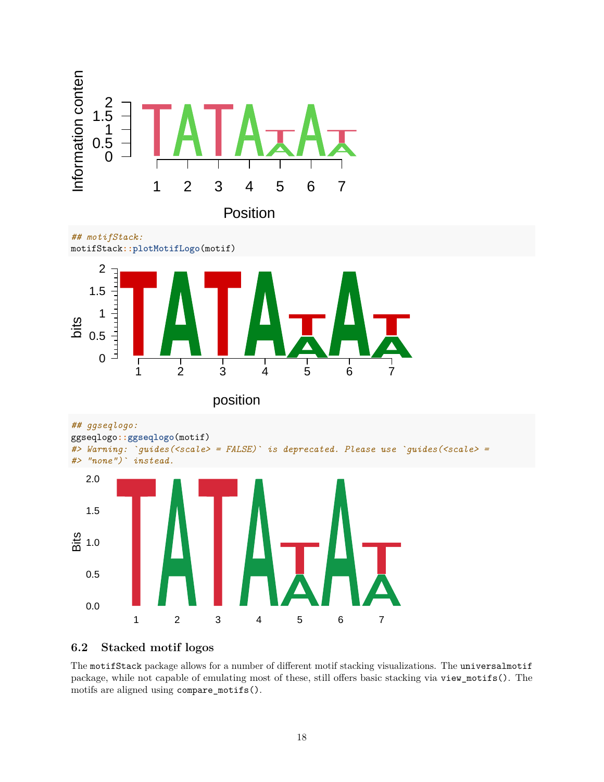

*## motifStack:*





position

```
## ggseqlogo:
```


*#> Warning: `guides(<scale> = FALSE)` is deprecated. Please use `guides(<scale> = #> "none")` instead.*



### <span id="page-17-0"></span>**6.2 Stacked motif logos**

The motifStack package allows for a number of different motif stacking visualizations. The universalmotif package, while not capable of emulating most of these, still offers basic stacking via view\_motifs(). The motifs are aligned using compare\_motifs().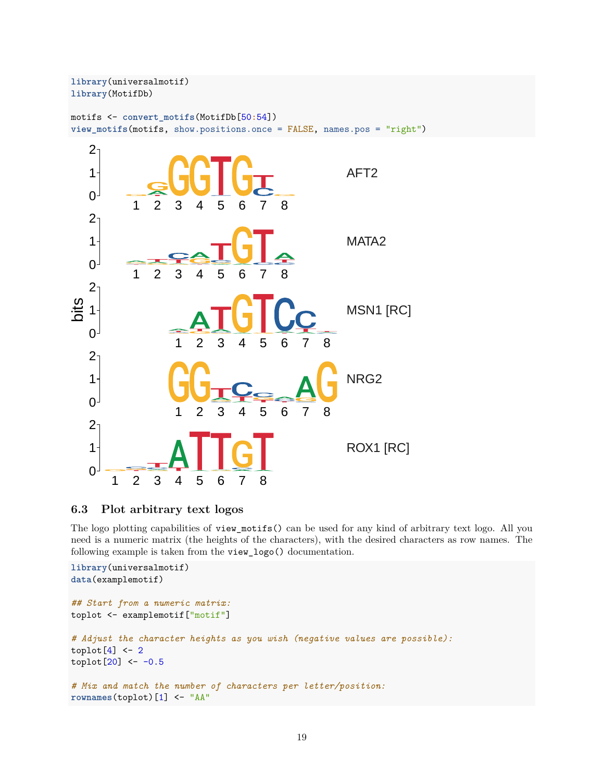

### <span id="page-18-0"></span>**6.3 Plot arbitrary text logos**

The logo plotting capabilities of view\_motifs() can be used for any kind of arbitrary text logo. All you need is a numeric matrix (the heights of the characters), with the desired characters as row names. The following example is taken from the view\_logo() documentation.

```
library(universalmotif)
data(examplemotif)
## Start from a numeric matrix:
toplot <- examplemotif["motif"]
# Adjust the character heights as you wish (negative values are possible):
toplot[4] < -2toplot[20] < -0.5# Mix and match the number of characters per letter/position:
rownames(toplot)[1] <- "AA"
```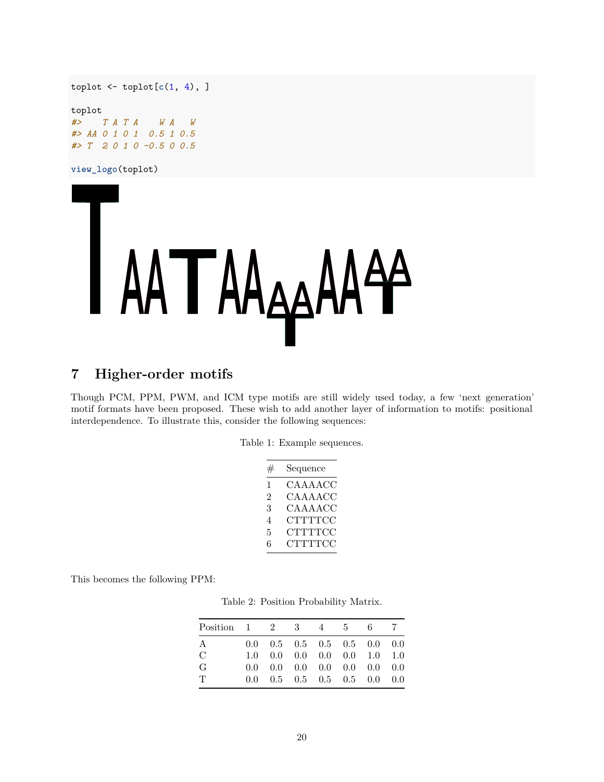toplot <- toplot[**c**(1, 4), ]

toplot *#> T A T A W A W #> AA 0 1 0 1 0.5 1 0.5 #> T 2 0 1 0 -0.5 0 0.5*

**view\_logo**(toplot)



# <span id="page-19-0"></span>**7 Higher-order motifs**

Though PCM, PPM, PWM, and ICM type motifs are still widely used today, a few 'next generation' motif formats have been proposed. These wish to add another layer of information to motifs: positional interdependence. To illustrate this, consider the following sequences:

|  |  |  | Table 1: Example sequences. |
|--|--|--|-----------------------------|
|--|--|--|-----------------------------|

| #                           | Sequence       |
|-----------------------------|----------------|
| 1                           | CAAAACC        |
| $\mathcal{D}_{\mathcal{L}}$ | CAAAACC        |
| 3                           | CAAAACC        |
| 4                           | <b>CTTTTCC</b> |
| 5                           | CTTTTCC        |
| 6                           | <b>CTTTTCC</b> |

<span id="page-19-1"></span>This becomes the following PPM:

Table 2: Position Probability Matrix.

| Position $1 \t2 \t3 \t4 \t5$ |  |  | - 6                                                               |  |
|------------------------------|--|--|-------------------------------------------------------------------|--|
| A                            |  |  | $0.0 \quad 0.5 \quad 0.5 \quad 0.5 \quad 0.5 \quad 0.0 \quad 0.0$ |  |
| $\mathcal{C}$                |  |  | $1.0 \quad 0.0 \quad 0.0 \quad 0.0 \quad 0.0 \quad 1.0 \quad 1.0$ |  |
| G                            |  |  | $0.0 \quad 0.0 \quad 0.0 \quad 0.0 \quad 0.0 \quad 0.0 \quad 0.0$ |  |
| $\mathbf T$                  |  |  | $0.0 \quad 0.5 \quad 0.5 \quad 0.5 \quad 0.5 \quad 0.0 \quad 0.0$ |  |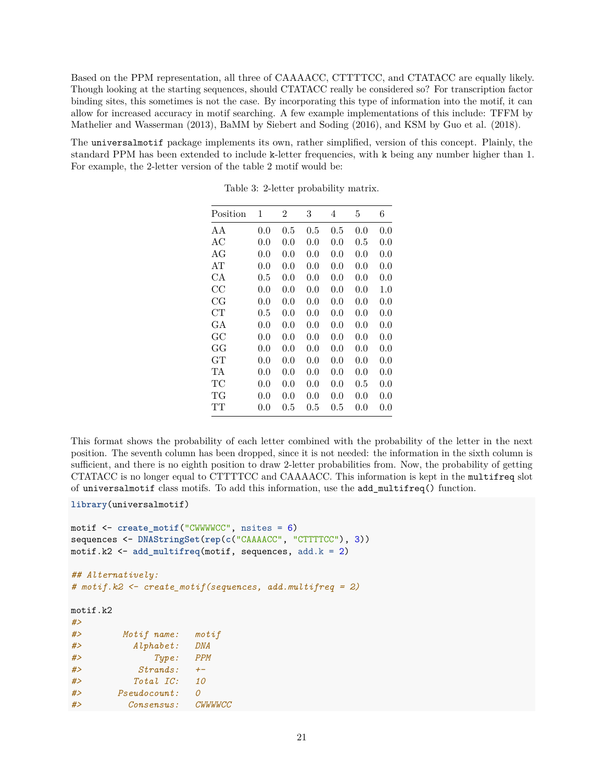Based on the PPM representation, all three of CAAAACC, CTTTTCC, and CTATACC are equally likely. Though looking at the starting sequences, should CTATACC really be considered so? For transcription factor binding sites, this sometimes is not the case. By incorporating this type of information into the motif, it can allow for increased accuracy in motif searching. A few example implementations of this include: TFFM by Mathelier and Wasserman (2013), BaMM by Siebert and Soding (2016), and KSM by Guo et al. (2018).

The universalmotif package implements its own, rather simplified, version of this concept. Plainly, the standard PPM has been extended to include k-letter frequencies, with k being any number higher than 1. For example, the 2-letter version of the table [2](#page-19-1) motif would be:

| Position    | 1   | $\overline{2}$ | 3       | 4       | 5         | 6   |
|-------------|-----|----------------|---------|---------|-----------|-----|
| AΑ          | 0.0 | $0.5\,$        | $0.5\,$ | 0.5     | 0.0       | 0.0 |
| АC          | 0.0 | 0.0            | 0.0     | 0.0     | $0.5\,$   | 0.0 |
| AG          | 0.0 | 0.0            | 0.0     | 0.0     | 0.0       | 0.0 |
| AТ          | 0.0 | 0.0            | 0.0     | 0.0     | 0.0       | 0.0 |
| СA          | 0.5 | 0.0            | 0.0     | 0.0     | 0.0       | 0.0 |
| CC          | 0.0 | 0.0            | 0.0     | 0.0     | 0.0       | 1.0 |
| $_{\rm CG}$ | 0.0 | 0.0            | 0.0     | 0.0     | 0.0       | 0.0 |
| CT          | 0.5 | 0.0            | 0.0     | 0.0     | 0.0       | 0.0 |
| GА          | 0.0 | 0.0            | 0.0     | 0.0     | $0.0\,$   | 0.0 |
| GC          | 0.0 | 0.0            | 0.0     | 0.0     | 0.0       | 0.0 |
| GG          | 0.0 | 0.0            | 0.0     | 0.0     | 0.0       | 0.0 |
| GT          | 0.0 | 0.0            | 0.0     | 0.0     | $0.0\,$   | 0.0 |
| TA          | 0.0 | 0.0            | 0.0     | 0.0     | 0.0       | 0.0 |
| TC          | 0.0 | 0.0            | 0.0     | 0.0     | $\rm 0.5$ | 0.0 |
| TG          | 0.0 | 0.0            | 0.0     | 0.0     | 0.0       | 0.0 |
| TТ          | 0.0 | $0.5\,$        | $0.5\,$ | $0.5\,$ | $0.0\,$   | 0.0 |

Table 3: 2-letter probability matrix.

This format shows the probability of each letter combined with the probability of the letter in the next position. The seventh column has been dropped, since it is not needed: the information in the sixth column is sufficient, and there is no eighth position to draw 2-letter probabilities from. Now, the probability of getting CTATACC is no longer equal to CTTTTCC and CAAAACC. This information is kept in the multifreq slot of universalmotif class motifs. To add this information, use the add\_multifreq() function.

```
library(universalmotif)
```

```
motif <- create_motif("CWWWWCC", nsites = 6)
sequences <- DNAStringSet(rep(c("CAAAACC", "CTTTTCC"), 3))
motif.k2 <- add_multifreq(motif, sequences, add.k = 2)
```

```
## Alternatively:
# motif.k2 <- create_motif(sequences, add.multifreq = 2)
```
motif.k2

| #  |              |                               |
|----|--------------|-------------------------------|
| #> | Motif name:  | $\mathop{\mathsf{mot}} i$ $f$ |
| #  | Alphabet:    | <b>DNA</b>                    |
| #> | Type:        | <b>PPM</b>                    |
| #  | Strands:     | $+-$                          |
| #  | Total IC:    | 10                            |
| #  | Pseudocount: | $\Omega$                      |
| #> | Consensus:   | <b>CWWWWCC</b>                |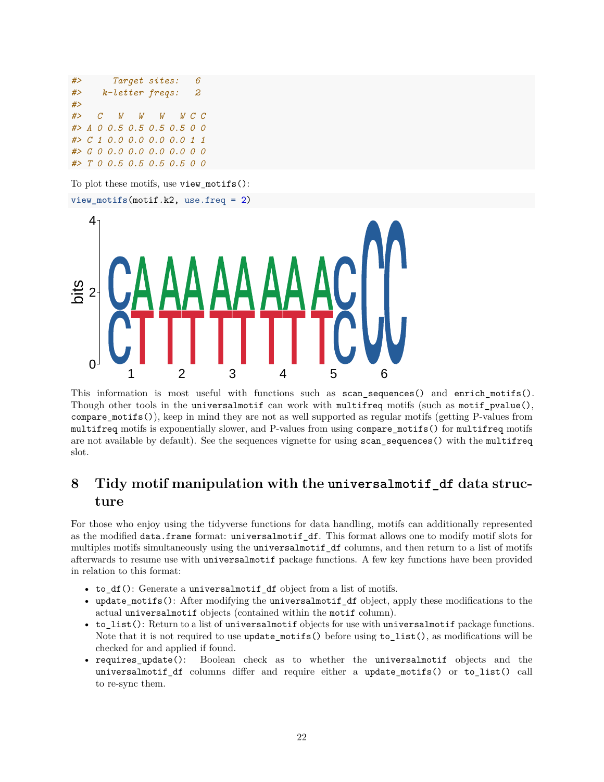*#> Target sites: 6 #> k-letter freqs: 2 #> #> C W W W W C C #> A 0 0.5 0.5 0.5 0.5 0 0 #> C 1 0.0 0.0 0.0 0.0 1 1 #> G 0 0.0 0.0 0.0 0.0 0 0 #> T 0 0.5 0.5 0.5 0.5 0 0*

To plot these motifs, use view\_motifs():



This information is most useful with functions such as scan sequences() and enrich motifs(). Though other tools in the universalmotif can work with multifreq motifs (such as motif\_pvalue(), compare  $motifs()$ , keep in mind they are not as well supported as regular motifs (getting P-values from multifreq motifs is exponentially slower, and P-values from using compare\_motifs() for multifreq motifs are not available by default). See the [sequences](#page-0-0) vignette for using scan\_sequences() with the multifreq slot.

# <span id="page-21-0"></span>**8 Tidy motif manipulation with the universalmotif\_df data structure**

For those who enjoy using the tidyverse functions for data handling, motifs can additionally represented as the modified data.frame format: universalmotif\_df. This format allows one to modify motif slots for multiples motifs simultaneously using the universalmotif\_df columns, and then return to a list of motifs afterwards to resume use with universalmotif package functions. A few key functions have been provided in relation to this format:

- to\_df(): Generate a universalmotif\_df object from a list of motifs.
- update\_motifs(): After modifying the universalmotif\_df object, apply these modifications to the actual universalmotif objects (contained within the motif column).
- to\_list(): Return to a list of universalmotif objects for use with universalmotif package functions. Note that it is not required to use update\_motifs() before using to\_list(), as modifications will be checked for and applied if found.
- requires update(): Boolean check as to whether the universalmotif objects and the universalmotif\_df columns differ and require either a update\_motifs() or to\_list() call to re-sync them.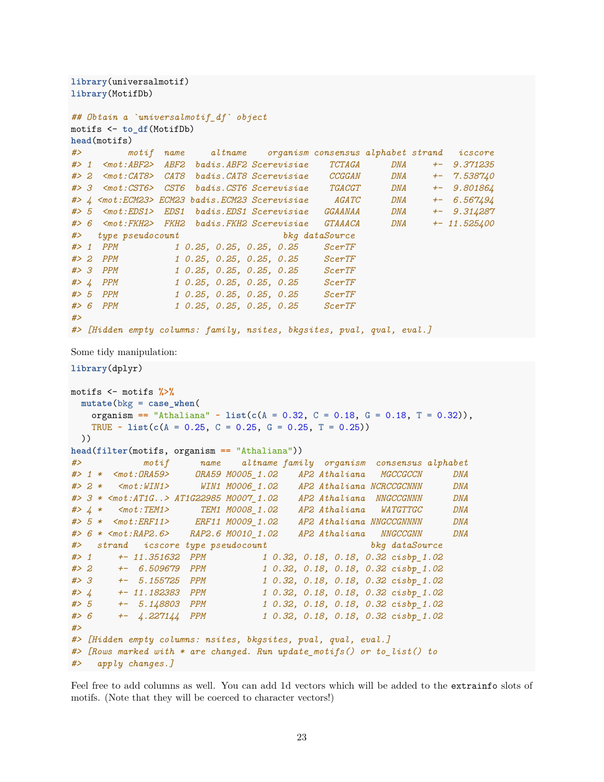```
library(universalmotif)
library(MotifDb)
## Obtain a `universalmotif_df` object
motifs <- to_df(MotifDb)
head(motifs)
#> motif name altname organism consensus alphabet strand icscore
#> 1 <mot:ABF2> ABF2 badis.ABF2 Scerevisiae TCTAGA DNA +- 9.371235
#> 2 <mot:CAT8> CAT8 badis.CAT8 Scerevisiae CCGGAN DNA +- 7.538740
#> 3 <mot:CST6> CST6 badis.CST6 Scerevisiae TGACGT DNA +- 9.801864
#> 4 <mot:ECM23> ECM23 badis.ECM23 Scerevisiae AGATC DNA +- 6.567494
#> 5 <mot:EDS1> EDS1 badis.EDS1 Scerevisiae GGAANAA DNA +- 9.314287
#> 6 <mot:FKH2> FKH2 badis.FKH2 Scerevisiae GTAAACA DNA +- 11.525400
#> type pseudocount bkg dataSource
#> 1 PPM 1 0.25, 0.25, 0.25, 0.25 ScerTF
                #> 2 PPM 1 0.25, 0.25, 0.25, 0.25 ScerTF
#> 3 PPM 1 0.25, 0.25, 0.25, 0.25 ScerTF
#> 4 PPM 1 0.25, 0.25, 0.25, 0.25 ScerTF
#> 5 PPM 1 0.25, 0.25, 0.25, 0.25 ScerTF
#> 6 PPM 1 0.25, 0.25, 0.25, 0.25 ScerTF
#>
#> [Hidden empty columns: family, nsites, bkgsites, pval, qval, eval.]
Some tidy manipulation:
library(dplyr)
motifs <- motifs %>%
 mutate(bkg = case_when(
   organism == "Athaliana" ~ list(c(A = 0.32, C = 0.18, G = 0.18, T = 0.32)),
   TRUE ~ list(c(A = 0.25, C = 0.25, G = 0.25, T = 0.25))
 ))
head(filter(motifs, organism == "Athaliana"))
#> motif name altname family organism consensus alphabet
#> 1 * <mot:ORA59> ORA59 M0005_1.02 AP2 Athaliana MGCCGCCN DNA
#> 2 * <mot:WIN1> WIN1 M0006_1.02 AP2 Athaliana NCRCCGCNNN DNA
#> 3 * <mot:AT1G..> AT1G22985 M0007_1.02 AP2 Athaliana NNGCCGNNN DNA
#> 4 * <mot:TEM1> TEM1 M0008_1.02 AP2 Athaliana WATGTTGC DNA
#> 5 * <mot:ERF11> ERF11 M0009_1.02 AP2 Athaliana NNGCCGNNNN DNA
#> 6 * <mot:RAP2.6> RAP2.6 M0010_1.02 AP2 Athaliana NNGCCGNN DNA
#> strand icscore type pseudocount bkg dataSource
#> 1 +- 11.351632 PPM 1 0.32, 0.18, 0.18, 0.32 cisbp_1.02
#> 2 +- 6.509679 PPM 1 0.32, 0.18, 0.18, 0.32 cisbp_1.02
#> 3 +- 5.155725 PPM 1 0.32, 0.18, 0.18, 0.32 cisbp_1.02
#> 4 +- 11.182383 PPM 1 0.32, 0.18, 0.18, 0.32 cisbp_1.02
#> 5 +- 5.148803 PPM 1 0.32, 0.18, 0.18, 0.32 cisbp_1.02
#> 6 +- 4.227144 PPM 1 0.32, 0.18, 0.18, 0.32 cisbp_1.02
#>
#> [Hidden empty columns: nsites, bkgsites, pval, qval, eval.]
#> [Rows marked with * are changed. Run update_motifs() or to_list() to
#> apply changes.]
```
Feel free to add columns as well. You can add 1d vectors which will be added to the extrainfo slots of motifs. (Note that they will be coerced to character vectors!)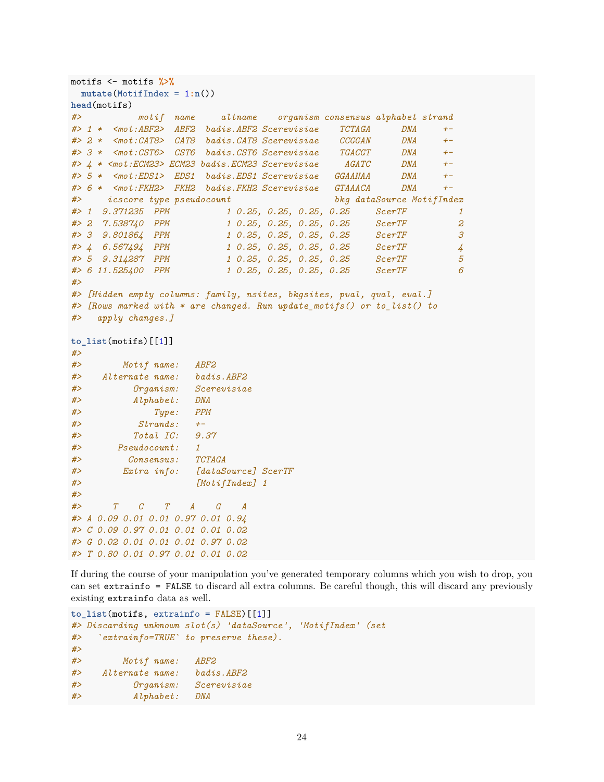```
motifs <- motifs %>%
 mutate(MotifIndex = 1:n())
head(motifs)
#> motif name altname organism consensus alphabet strand
#> 1 * <mot:ABF2> ABF2 badis.ABF2 Scerevisiae TCTAGA DNA +-
#> 2 * <mot:CAT8> CAT8 badis.CAT8 Scerevisiae CCGGAN DNA +-
#> 3 * <mot:CST6> CST6 badis.CST6 Scerevisiae TGACGT DNA +-
#> 4 * <mot:ECM23> ECM23 badis.ECM23 Scerevisiae AGATC DNA +-
#> 5 * <mot:EDS1> EDS1 badis.EDS1 Scerevisiae GGAANAA DNA +-
#> 6 * <mot:FKH2> FKH2 badis.FKH2 Scerevisiae GTAAACA DNA +-
#> icscore type pseudocount bkg dataSource MotifIndex
#> 1 9.371235 PPM 1 0.25, 0.25, 0.25, 0.25 ScerTF 1
#> 2 7.538740 PPM 1 0.25, 0.25, 0.25, 0.25 ScerTF 2
#> 3 9.801864 PPM 1 0.25, 0.25, 0.25, 0.25 ScerTF 3
#> 4 6.567494 PPM 1 0.25, 0.25, 0.25, 0.25 ScerTF 4
#> 5 9.314287 PPM 1 0.25, 0.25, 0.25, 0.25 ScerTF 5
#> 6 11.525400 PPM 1 0.25, 0.25, 0.25, 0.25 ScerTF 6
#>
#> [Hidden empty columns: family, nsites, bkgsites, pval, qval, eval.]
#> [Rows marked with * are changed. Run update_motifs() or to_list() to
#> apply changes.]
to_list(motifs)[[1]]
#>
#> Motif name: ABF2
#> Alternate name: badis.ABF2
#> Organism: Scerevisiae
#> Alphabet: DNA
#> Type: PPM
#> Strands: +-
#> Total IC: 9.37
#> Pseudocount: 1
#> Consensus: TCTAGA
#> Extra info: [dataSource] ScerTF
#> [MotifIndex] 1
#>
#> T C T A G A
#> A 0.09 0.01 0.01 0.97 0.01 0.94
#> C 0.09 0.97 0.01 0.01 0.01 0.02
#> G 0.02 0.01 0.01 0.01 0.97 0.02
#> T 0.80 0.01 0.97 0.01 0.01 0.02
```
If during the course of your manipulation you've generated temporary columns which you wish to drop, you can set extrainfo = FALSE to discard all extra columns. Be careful though, this will discard any previously existing extrainfo data as well.

```
to_list(motifs, extrainfo = FALSE)[[1]]
#> Discarding unknown slot(s) 'dataSource', 'MotifIndex' (set
#> `extrainfo=TRUE` to preserve these).
#>
#> Motif name: ABF2
#> Alternate name: badis.ABF2
#> Organism: Scerevisiae
#> Alphabet: DNA
```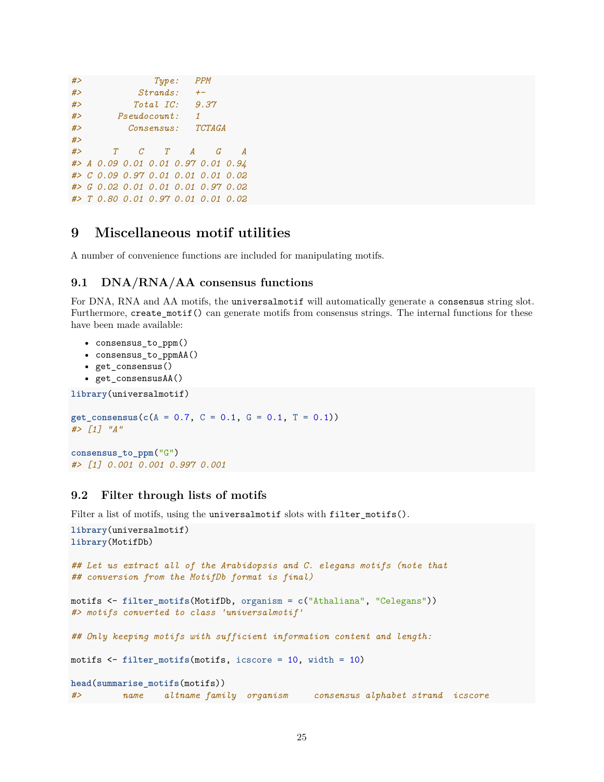```
#> Type: PPM
#> Strands: +-
#> Total IC: 9.37
#> Pseudocount: 1
#> Consensus: TCTAGA
#>
#> T C T A G A
#> A 0.09 0.01 0.01 0.97 0.01 0.94
#> C 0.09 0.97 0.01 0.01 0.01 0.02
#> G 0.02 0.01 0.01 0.01 0.97 0.02
#> T 0.80 0.01 0.97 0.01 0.01 0.02
```
### <span id="page-24-0"></span>**9 Miscellaneous motif utilities**

A number of convenience functions are included for manipulating motifs.

### <span id="page-24-1"></span>**9.1 DNA/RNA/AA consensus functions**

For DNA, RNA and AA motifs, the universalmotif will automatically generate a consensus string slot. Furthermore, create\_motif() can generate motifs from consensus strings. The internal functions for these have been made available:

```
• consensus_to_ppm()
```
- consensus\_to\_ppmAA()
- get\_consensus()
- get\_consensusAA()

```
library(universalmotif)
```

```
get_consensus(c(A = 0.7, C = 0.1, G = 0.1, T = 0.1))
#> [1] "A"
```

```
consensus_to_ppm("G")
#> [1] 0.001 0.001 0.997 0.001
```
#### <span id="page-24-2"></span>**9.2 Filter through lists of motifs**

Filter a list of motifs, using the universalmotif slots with filter\_motifs().

```
library(universalmotif)
library(MotifDb)
## Let us extract all of the Arabidopsis and C. elegans motifs (note that
## conversion from the MotifDb format is final)
motifs <- filter_motifs(MotifDb, organism = c("Athaliana", "Celegans"))
#> motifs converted to class 'universalmotif'
## Only keeping motifs with sufficient information content and length:
motifs <- filter_motifs(motifs, icscore = 10, width = 10)
head(summarise_motifs(motifs))
#> name altname family organism consensus alphabet strand icscore
```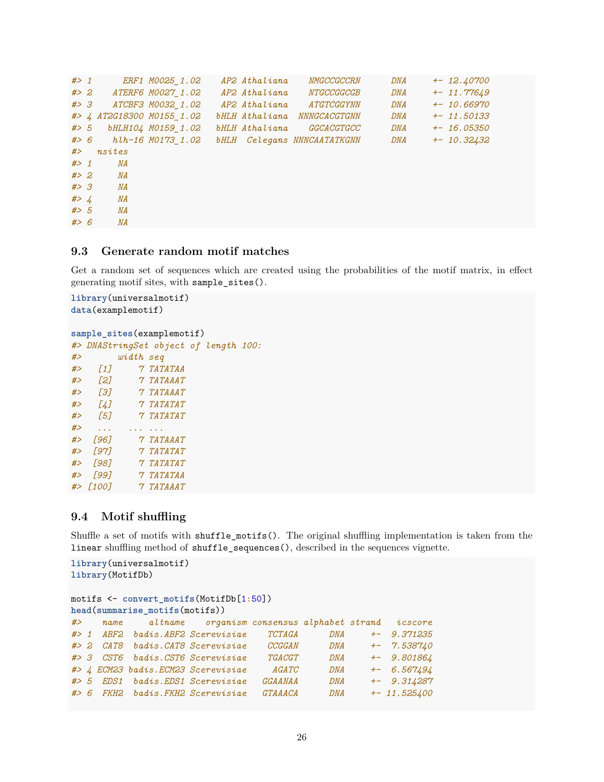```
#> 1 ERF1 M0025_1.02 AP2 Athaliana NMGCCGCCRN DNA +- 12.40700
#> 2 ATERF6 M0027_1.02 AP2 Athaliana NTGCCGGCGB DNA +- 11.77649
#> 3 ATCBF3 M0032_1.02 AP2 Athaliana ATGTCGGYNN DNA +- 10.66970
#> 4 AT2G18300 M0155_1.02 bHLH Athaliana NNNGCACGTGNN DNA +- 11.50133
#> 5 bHLH104 M0159_1.02 bHLH Athaliana GGCACGTGCC DNA +- 16.05350
#> 6 hlh-16 M0173_1.02 bHLH Celegans NNNCAATATKGNN DNA +- 10.32432
#> nsites
#> 1 NA
#> 2 NA
#> 3 NA
#> 4 NA
#> 5 NA
#> 6 NA
```
### <span id="page-25-0"></span>**9.3 Generate random motif matches**

Get a random set of sequences which are created using the probabilities of the motif matrix, in effect generating motif sites, with sample\_sites().

```
library(universalmotif)
data(examplemotif)
```

```
sample sites(examplemotif)
#> DNAStringSet object of length 100:
```

| #>    |                           | width seq |                         |  |  |
|-------|---------------------------|-----------|-------------------------|--|--|
| #     | $\left[1\right]$          |           | <b>7 TATATAA</b>        |  |  |
| #     | [2]                       |           | <i><b>7 TATAAAT</b></i> |  |  |
| #     | [3]                       |           | <i>7 TATAAAT</i>        |  |  |
| #     | [4]                       |           | <i>7 TATATAT</i>        |  |  |
| #     | [5]                       |           | <b>7 TATATAT</b>        |  |  |
| #>    |                           |           |                         |  |  |
| #     | Г961                      |           | $7$ $TATAAAT$           |  |  |
| # $>$ | Г971                      |           | $7\,7474747$            |  |  |
| #>    | Г981                      |           | <i>7 TATATAT</i>        |  |  |
| # $>$ | Г991                      |           | <i><b>7 TATATAA</b></i> |  |  |
|       | $#$ $\rightarrow$ $[100]$ |           | <b>7 TATAAAT</b>        |  |  |

### <span id="page-25-1"></span>**9.4 Motif shuffling**

Shuffle a set of motifs with shuffle\_motifs(). The original shuffling implementation is taken from the linear shuffling method of shuffle\_sequences(), described in the [sequences](#page-0-0) vignette.

```
library(universalmotif)
library(MotifDb)
motifs <- convert_motifs(MotifDb[1:50])
head(summarise_motifs(motifs))
#> name altname organism consensus alphabet strand icscore
#> 1 ABF2 badis.ABF2 Scerevisiae TCTAGA DNA +- 9.371235
#> 2 CAT8 badis.CAT8 Scerevisiae CCGGAN DNA +- 7.538740
#> 3 CST6 badis.CST6 Scerevisiae TGACGT DNA +- 9.801864
#> 4 ECM23 badis.ECM23 Scerevisiae AGATC DNA +- 6.567494
#> 5 EDS1 badis.EDS1 Scerevisiae GGAANAA DNA +- 9.314287
#> 6 FKH2 badis.FKH2 Scerevisiae GTAAACA DNA +- 11.525400
```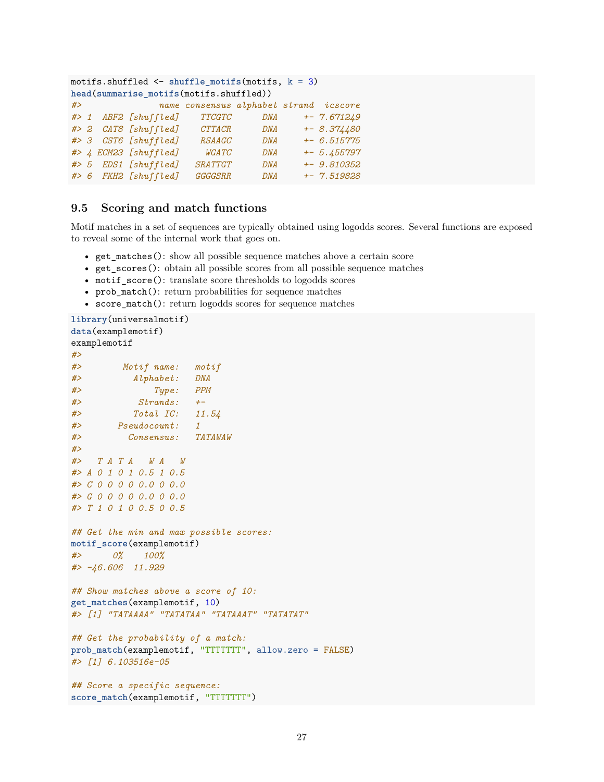```
motifs.shuffled <- shuffle_motifs(motifs, k = 3)
head(summarise_motifs(motifs.shuffled))
#> name consensus alphabet strand icscore
#> 1 ABF2 [shuffled] TTCGTC DNA +- 7.671249
#> 2 CAT8 [shuffled] CTTACR DNA +- 8.374480
#> 3 CST6 [shuffled] RSAAGC DNA +- 6.515775
#> 4 ECM23 [shuffled] WGATC DNA +- 5.455797
#> 5 EDS1 [shuffled] SRATTGT DNA +- 9.810352
#> 6 FKH2 [shuffled] GGGGSRR DNA +- 7.519828
```
#### <span id="page-26-0"></span>**9.5 Scoring and match functions**

Motif matches in a set of sequences are typically obtained using logodds scores. Several functions are exposed to reveal some of the internal work that goes on.

- get\_matches(): show all possible sequence matches above a certain score
- get scores(): obtain all possible scores from all possible sequence matches
- motif\_score(): translate score thresholds to logodds scores
- prob match(): return probabilities for sequence matches
- score\_match(): return logodds scores for sequence matches

```
library(universalmotif)
data(examplemotif)
examplemotif
#>
#> Motif name: motif
#> Alphabet: DNA
#> Type: PPM
#> Strands: +-
#> Total IC: 11.54
#> Pseudocount: 1
#> Consensus: TATAWAW
#>
#> T A T A W A W
#> A 0 1 0 1 0.5 1 0.5
#> C 0 0 0 0 0.0 0 0.0
#> G 0 0 0 0 0.0 0 0.0
#> T 1 0 1 0 0.5 0 0.5
## Get the min and max possible scores:
motif_score(examplemotif)
#> 0% 100%
#> -46.606 11.929
## Show matches above a score of 10:
get_matches(examplemotif, 10)
#> [1] "TATAAAA" "TATATAA" "TATAAAT" "TATATAT"
## Get the probability of a match:
prob_match(examplemotif, "TTTTTTT", allow.zero = FALSE)
#> [1] 6.103516e-05
## Score a specific sequence:
score_match(examplemotif, "TTTTTTT")
```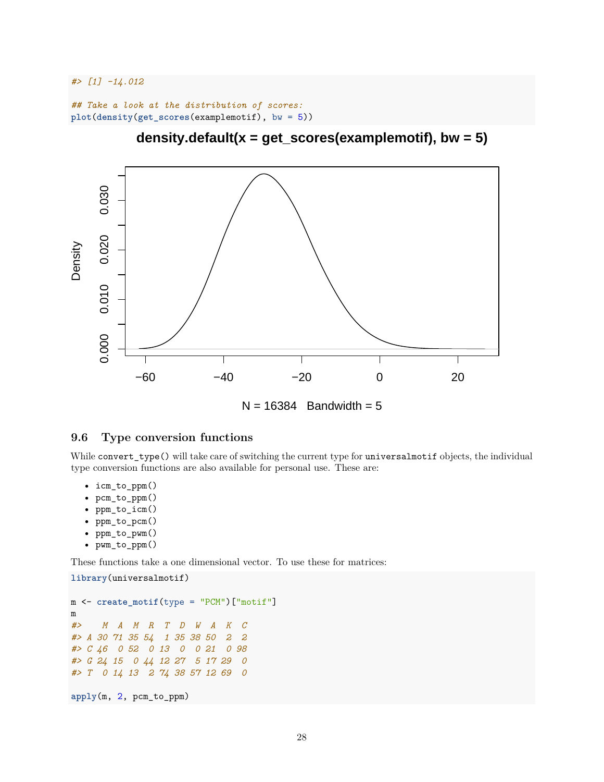*#> [1] -14.012*

```
## Take a look at the distribution of scores:
plot(density(get_scores(examplemotif), bw = 5))
```


**density.default(x = get\_scores(examplemotif), bw = 5)**

# <span id="page-27-0"></span>**9.6 Type conversion functions**

While convert\_type() will take care of switching the current type for universalmotif objects, the individual type conversion functions are also available for personal use. These are:

- icm\_to\_ppm()
- pcm\_to\_ppm()
- ppm\_to\_icm()
- ppm\_to\_pcm()
- ppm\_to\_pwm()
- pwm\_to\_ppm()

**library**(universalmotif)

These functions take a one dimensional vector. To use these for matrices:

```
m <- create_motif(type = "PCM")["motif"]
m
#> M A M R T D W A K C
#> A 30 71 35 54 1 35 38 50 2 2
#> C 46 0 52 0 13 0 0 21 0 98
#> G 24 15 0 44 12 27 5 17 29 0
#> T 0 14 13 2 74 38 57 12 69 0
apply(m, 2, pcm_to_ppm)
```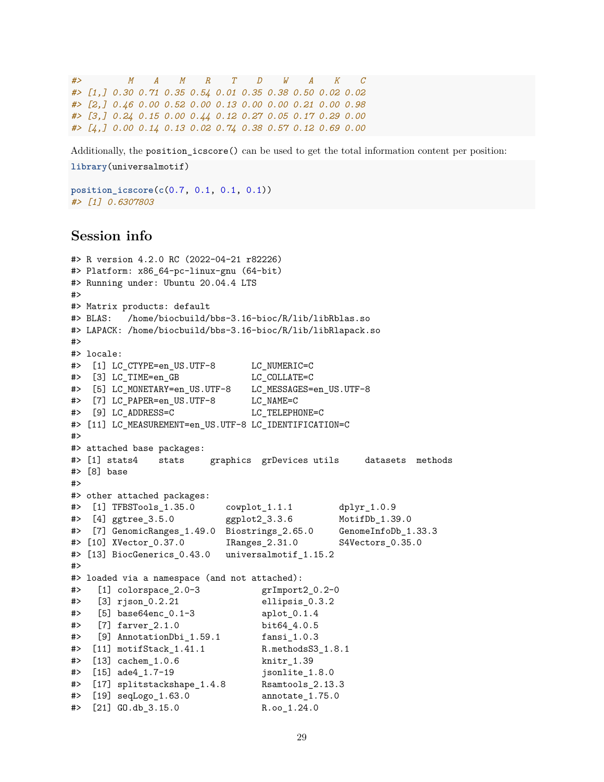*#> M A M R T D W A K C #> [1,] 0.30 0.71 0.35 0.54 0.01 0.35 0.38 0.50 0.02 0.02 #> [2,] 0.46 0.00 0.52 0.00 0.13 0.00 0.00 0.21 0.00 0.98 #> [3,] 0.24 0.15 0.00 0.44 0.12 0.27 0.05 0.17 0.29 0.00 #> [4,] 0.00 0.14 0.13 0.02 0.74 0.38 0.57 0.12 0.69 0.00*

Additionally, the position\_icscore() can be used to get the total information content per position: **library**(universalmotif)

**position\_icscore**(**c**(0.7, 0.1, 0.1, 0.1)) *#> [1] 0.6307803*

### <span id="page-28-0"></span>**Session info**

```
#> R version 4.2.0 RC (2022-04-21 r82226)
#> Platform: x86_64-pc-linux-gnu (64-bit)
#> Running under: Ubuntu 20.04.4 LTS
#>
#> Matrix products: default
#> BLAS: /home/biocbuild/bbs-3.16-bioc/R/lib/libRblas.so
#> LAPACK: /home/biocbuild/bbs-3.16-bioc/R/lib/libRlapack.so
#>
#> locale:
#> [1] LC_CTYPE=en_US.UTF-8 LC_NUMERIC=C
#> [3] LC_TIME=en_GB LC_COLLATE=C
#> [5] LC_MONETARY=en_US.UTF-8 LC_MESSAGES=en_US.UTF-8
#> [7] LC_PAPER=en_US.UTF-8 LC_NAME=C
#> [9] LC_ADDRESS=C LC_TELEPHONE=C
#> [11] LC_MEASUREMENT=en_US.UTF-8 LC_IDENTIFICATION=C
#>
#> attached base packages:
#> [1] stats4 stats graphics grDevices utils datasets methods
#> [8] base
#>
#> other attached packages:
#> [1] TFBSTools_1.35.0 cowplot_1.1.1 dplyr_1.0.9
#> [4] ggtree_3.5.0 ggplot2_3.3.6 MotifDb_1.39.0
#> [7] GenomicRanges_1.49.0 Biostrings_2.65.0 GenomeInfoDb_1.33.3
#> [10] XVector_0.37.0 IRanges_2.31.0 S4Vectors_0.35.0
#> [13] BiocGenerics_0.43.0 universalmotif_1.15.2
#>
#> loaded via a namespace (and not attached):
#> [1] colorspace_2.0-3 grImport2_0.2-0
#> [3] rjson_0.2.21 ellipsis_0.3.2
#> [5] base64enc_0.1-3 aplot_0.1.4
#> [7] farver_2.1.0 bit64_4.0.5
#> [9] AnnotationDbi_1.59.1 fansi_1.0.3
#> [11] motifStack_1.41.1 R.methodsS3_1.8.1
#> [13] cachem_1.0.6 knitr_1.39
#> [15] ade4_1.7-19 jsonlite_1.8.0
#> [17] splitstackshape_1.4.8 Rsamtools_2.13.3
#> [19] seqLogo_1.63.0 annotate_1.75.0
#> [21] GO.db_3.15.0 R.oo_1.24.0
```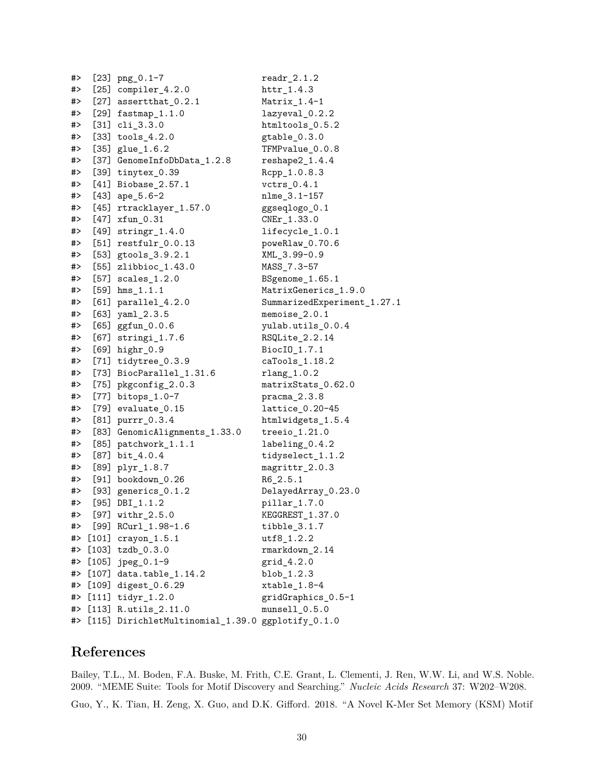| #> | $[23]$ png $_0.1-7$                                      | $readr_2.1.2$                         |
|----|----------------------------------------------------------|---------------------------------------|
| #> | $[25]$ compiler_4.2.0                                    |                                       |
| #> | $[27]$ assertthat $0.2.1$                                | Matrix_1.4-1                          |
| #> | $[29]$ fastmap <sub>1.1.0</sub>                          | lazyeval_0.2.2                        |
| #> | $[31]$ $cli_3.3.0$                                       | htmltools_0.5.2                       |
| #> | $[33]$ tools $-4.2.0$                                    | gtable_0.3.0                          |
| #> | $[35]$ glue $1.6.2$                                      | TFMPvalue_0.0.8                       |
| #> | [37] GenomeInfoDbData_1.2.8                              | $reshape2_1.4.4$                      |
| #> | [39] $tinyex_0.39$                                       | Rcpp_1.0.8.3                          |
| #> | [41] Biobase_2.57.1                                      | $vctrs_0.4.1$                         |
| #> | $[43]$ ape_5.6-2                                         | nlme_3.1-157                          |
| #> | [45] rtracklayer_1.57.0                                  | ggseqlogo_0.1                         |
| #> | $[47]$ xfun $[0.31]$                                     | CNEr_1.33.0                           |
| #> | $[49]$ stringr_1.4.0                                     | lifecycle_1.0.1                       |
| #> | $[51]$ restfulr $_0.0.13$                                | poweRlaw_0.70.6                       |
| #> | [53] gtools_3.9.2.1                                      | XML_3.99-0.9                          |
| #> | [55] zlibbioc_1.43.0                                     | MASS_7.3-57                           |
| #> | $[57]$ scales $_1.2.0$                                   | BSgenome_1.65.1                       |
| #> | $[59]$ hms_1.1.1                                         | MatrixGenerics_1.9.0                  |
| #> | $[61]$ parallel_4.2.0                                    | SummarizedExperiment_1.27.1           |
| #> | $[63]$ yaml $[2.3.5]$                                    | memoise_2.0.1                         |
| #> | $[65]$ ggfun $_0.0.6$                                    | yulab.utils_0.0.4                     |
| #> | $[67]$ stringi $1.7.6$                                   | RSQLite_2.2.14                        |
| #> | [69] highr_0.9                                           | BiocI0_1.7.1                          |
| #> | $[71]$ tidytree_0.3.9                                    | caTools_1.18.2                        |
| #> | [73] BiocParallel_1.31.6                                 | $rlang_1.0.2$                         |
| #> | [75] pkgconfig_2.0.3                                     | matrixStats_0.62.0                    |
| #> | $[77]$ bitops $-1.0-7$                                   | $pracma_2.3.8$                        |
| #> | $[79]$ evaluate $_0.15$                                  | lattice_0.20-45                       |
| #> | $[81]$ purrr $_0.3.4$                                    | htmlwidgets_1.5.4                     |
| #> | [83] GenomicAlignments_1.33.0                            | treeio_1.21.0                         |
| #> | $[85]$ patchwork $_1.1.1$                                | labeling_0.4.2                        |
| #> | $[87]$ bit_4.0.4                                         | tidyselect_1.1.2                      |
| #> | [89] plyr_1.8.7                                          | magrittr_2.0.3                        |
| #> | $[91]$ bookdown $_0.26$                                  | $R6_2.5.1$                            |
| #> | [93] generics $_0.1.2$                                   | DelayedArray_0.23.0                   |
| #> | $[95]$ DBI_1.1.2                                         | $pillar_1.7.0$                        |
| #> | $[97]$ withr $2.5.0$                                     | KEGGREST 1.37.0                       |
| #> | $[99]$ RCurl $1.98-1.6$                                  | tibble_3.1.7                          |
| #> | $[101]$ crayon <sub>1.5.1</sub>                          | utf8_1.2.2                            |
| #> | $[103]$ tzdb_0.3.0                                       | rmarkdown_2.14                        |
| #> | $[105]$ jpeg_0.1-9                                       | grid_4.2.0                            |
| #> | [107] data.table_1.14.2                                  | blob_1.2.3                            |
| #> | $[109]$ digest <sub>-0.6.29</sub><br>$[111]$ tidyr_1.2.0 | xtable_1.8-4                          |
| #> | $[113]$ R.utils $2.11.0$                                 | gridGraphics_0.5-1<br>$munsell_0.5.0$ |
| #> | [115] DirichletMultinomial_1.39.0 ggplotify_0.1.0        |                                       |
| #> |                                                          |                                       |

# <span id="page-29-0"></span>**References**

Bailey, T.L., M. Boden, F.A. Buske, M. Frith, C.E. Grant, L. Clementi, J. Ren, W.W. Li, and W.S. Noble. 2009. "MEME Suite: Tools for Motif Discovery and Searching." *Nucleic Acids Research* 37: W202–W208.

Guo, Y., K. Tian, H. Zeng, X. Guo, and D.K. Gifford. 2018. "A Novel K-Mer Set Memory (KSM) Motif